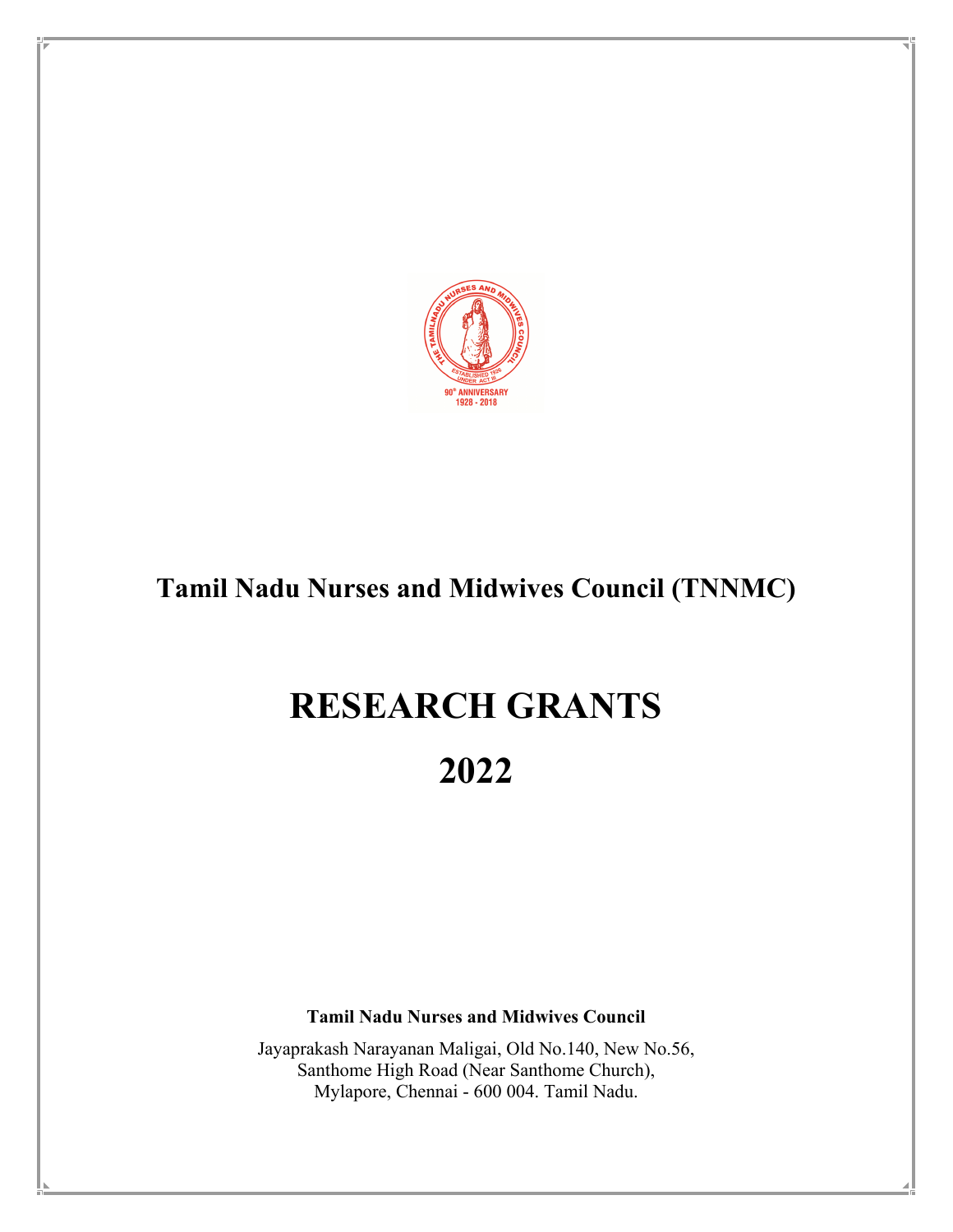

# **Tamil Nadu Nurses and Midwives Council (TNNMC)**

# **RESEARCH GRANTS**

**2022** 

**Tamil Nadu Nurses and Midwives Council** 

Jayaprakash Narayanan Maligai, Old No.140, New No.56, Santhome High Road (Near Santhome Church), Mylapore, Chennai - 600 004. Tamil Nadu.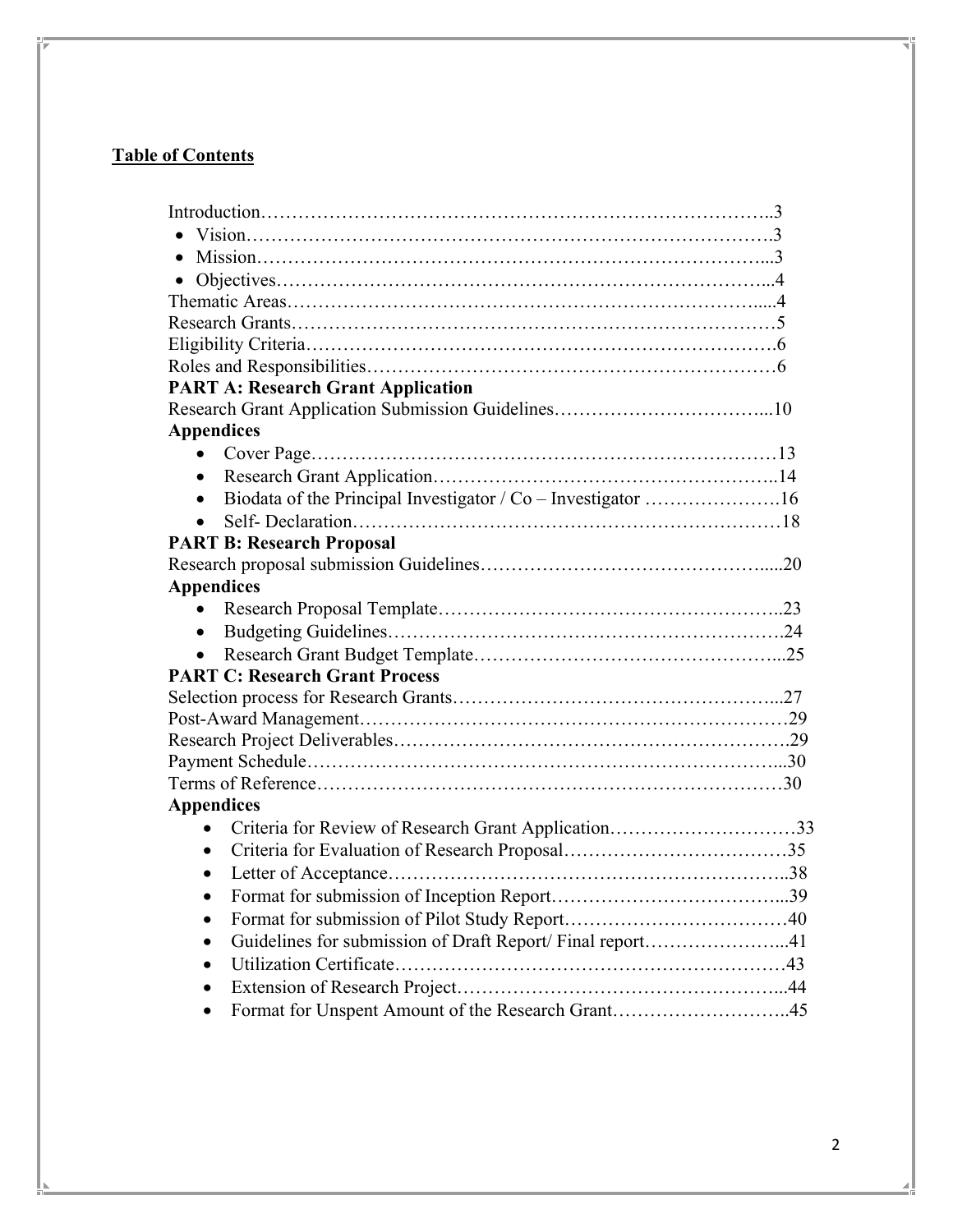## **Table of Contents**

| $\bullet$                                                        |  |
|------------------------------------------------------------------|--|
|                                                                  |  |
|                                                                  |  |
|                                                                  |  |
|                                                                  |  |
| <b>PART A: Research Grant Application</b>                        |  |
|                                                                  |  |
| <b>Appendices</b>                                                |  |
| $\bullet$                                                        |  |
| $\bullet$                                                        |  |
| Biodata of the Principal Investigator / Co - Investigator 16     |  |
| $\bullet$                                                        |  |
| <b>PART B: Research Proposal</b>                                 |  |
|                                                                  |  |
| <b>Appendices</b>                                                |  |
| $\bullet$                                                        |  |
| $\bullet$                                                        |  |
|                                                                  |  |
| <b>PART C: Research Grant Process</b>                            |  |
|                                                                  |  |
|                                                                  |  |
|                                                                  |  |
|                                                                  |  |
|                                                                  |  |
| <b>Appendices</b>                                                |  |
| Criteria for Review of Research Grant Application33<br>$\bullet$ |  |
|                                                                  |  |
|                                                                  |  |
|                                                                  |  |
|                                                                  |  |
| Guidelines for submission of Draft Report/ Final report41        |  |
|                                                                  |  |
|                                                                  |  |
| Format for Unspent Amount of the Research Grant45                |  |
|                                                                  |  |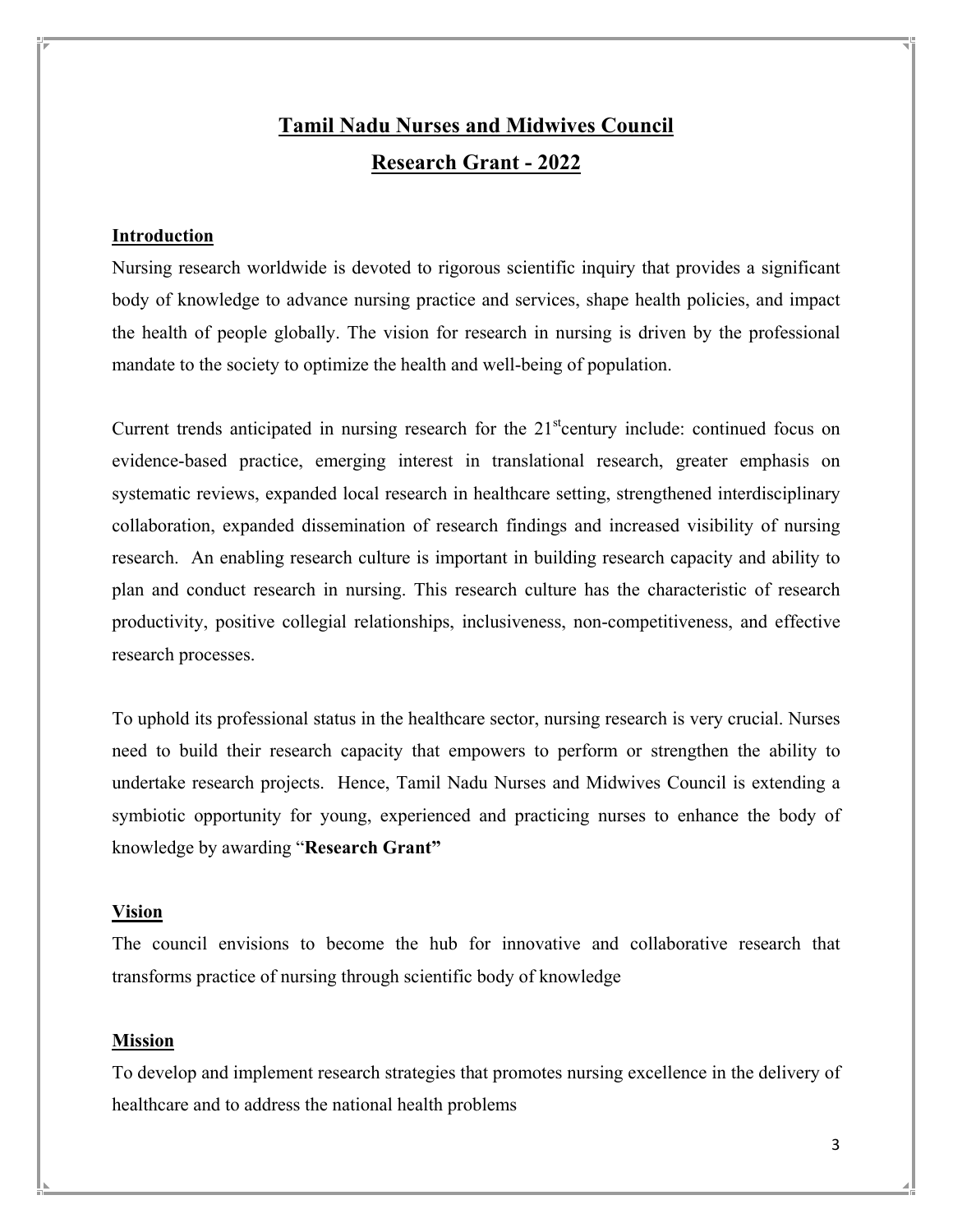# **Tamil Nadu Nurses and Midwives Council Research Grant - 2022**

### **Introduction**

Nursing research worldwide is devoted to rigorous scientific inquiry that provides a significant body of knowledge to advance nursing practice and services, shape health policies, and impact the health of people globally. The vision for research in nursing is driven by the professional mandate to the society to optimize the health and well-being of population.

Current trends anticipated in nursing research for the  $21<sup>st</sup>$ century include: continued focus on evidence-based practice, emerging interest in translational research, greater emphasis on systematic reviews, expanded local research in healthcare setting, strengthened interdisciplinary collaboration, expanded dissemination of research findings and increased visibility of nursing research. An enabling research culture is important in building research capacity and ability to plan and conduct research in nursing. This research culture has the characteristic of research productivity, positive collegial relationships, inclusiveness, non-competitiveness, and effective research processes.

To uphold its professional status in the healthcare sector, nursing research is very crucial. Nurses need to build their research capacity that empowers to perform or strengthen the ability to undertake research projects. Hence, Tamil Nadu Nurses and Midwives Council is extending a symbiotic opportunity for young, experienced and practicing nurses to enhance the body of knowledge by awarding "**Research Grant"**

#### **Vision**

The council envisions to become the hub for innovative and collaborative research that transforms practice of nursing through scientific body of knowledge

#### **Mission**

To develop and implement research strategies that promotes nursing excellence in the delivery of healthcare and to address the national health problems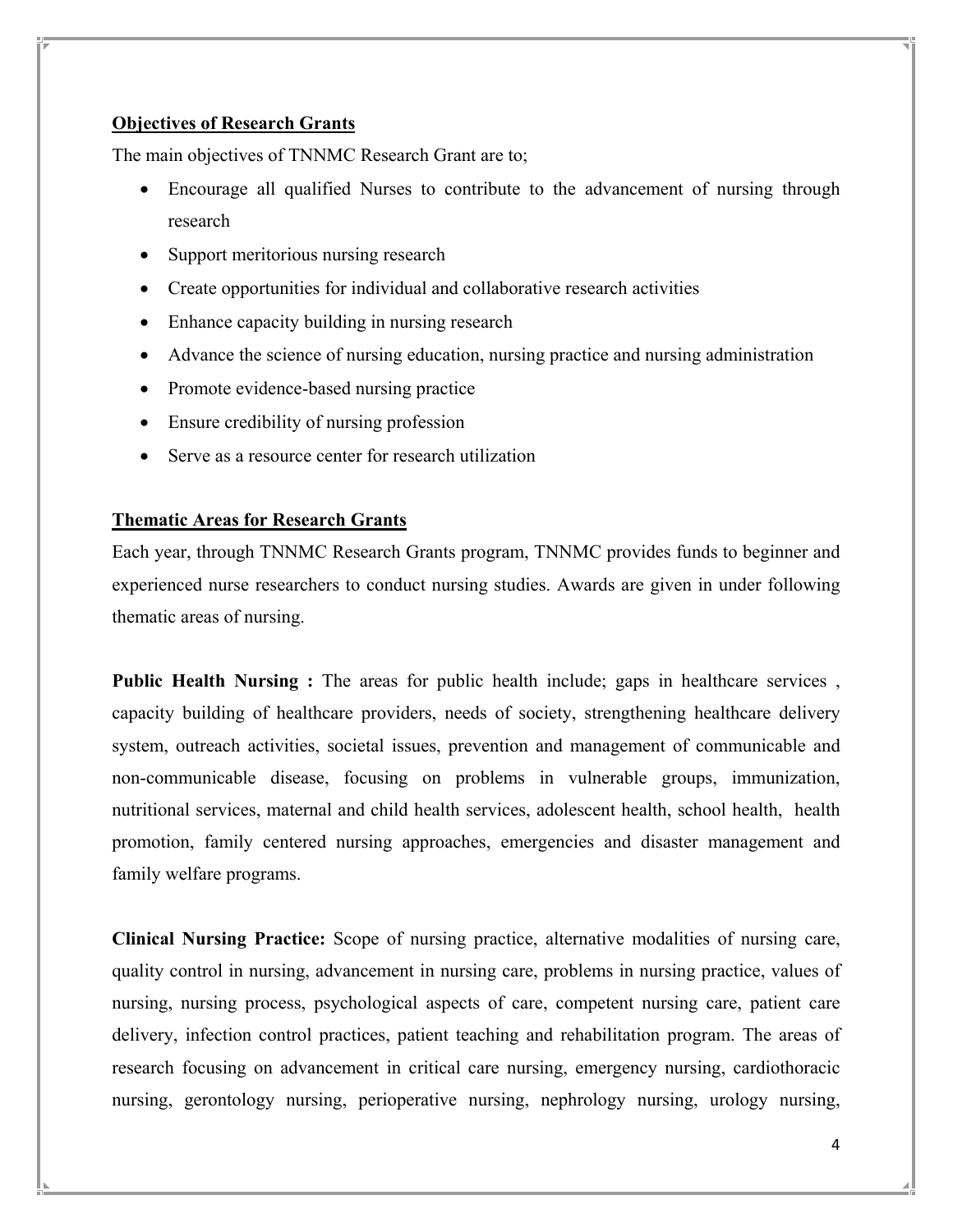## **Objectives of Research Grants**

The main objectives of TNNMC Research Grant are to;

- Encourage all qualified Nurses to contribute to the advancement of nursing through research
- Support meritorious nursing research
- Create opportunities for individual and collaborative research activities
- Enhance capacity building in nursing research
- Advance the science of nursing education, nursing practice and nursing administration
- Promote evidence-based nursing practice
- Ensure credibility of nursing profession
- Serve as a resource center for research utilization

#### **Thematic Areas for Research Grants**

Each year, through TNNMC Research Grants program, TNNMC provides funds to beginner and experienced nurse researchers to conduct nursing studies. Awards are given in under following thematic areas of nursing.

**Public Health Nursing :** The areas for public health include; gaps in healthcare services, capacity building of healthcare providers, needs of society, strengthening healthcare delivery system, outreach activities, societal issues, prevention and management of communicable and non-communicable disease, focusing on problems in vulnerable groups, immunization, nutritional services, maternal and child health services, adolescent health, school health, health promotion, family centered nursing approaches, emergencies and disaster management and family welfare programs.

**Clinical Nursing Practice:** Scope of nursing practice, alternative modalities of nursing care, quality control in nursing, advancement in nursing care, problems in nursing practice, values of nursing, nursing process, psychological aspects of care, competent nursing care, patient care delivery, infection control practices, patient teaching and rehabilitation program. The areas of research focusing on advancement in critical care nursing, emergency nursing, cardiothoracic nursing, gerontology nursing, perioperative nursing, nephrology nursing, urology nursing,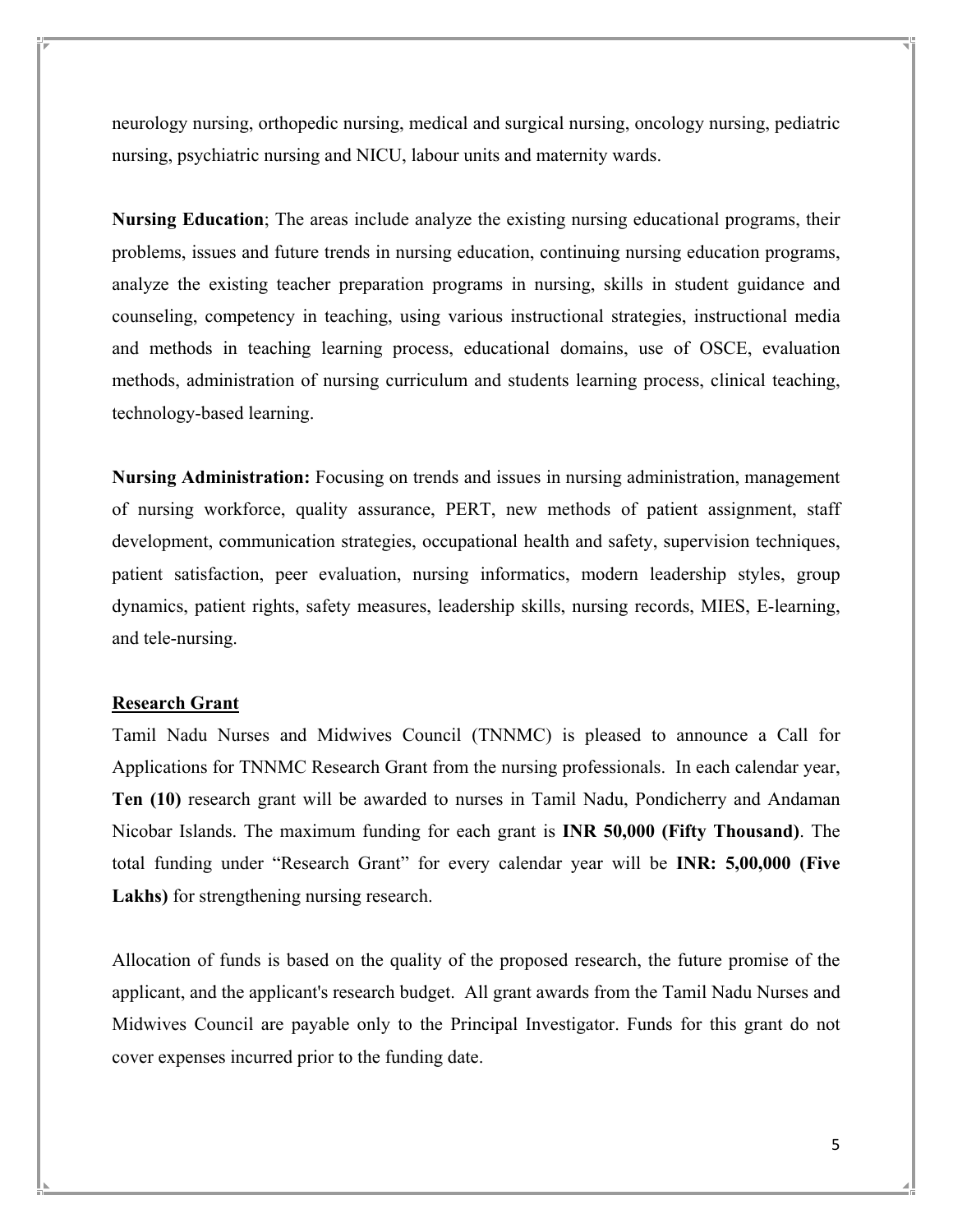neurology nursing, orthopedic nursing, medical and surgical nursing, oncology nursing, pediatric nursing, psychiatric nursing and NICU, labour units and maternity wards.

**Nursing Education**; The areas include analyze the existing nursing educational programs, their problems, issues and future trends in nursing education, continuing nursing education programs, analyze the existing teacher preparation programs in nursing, skills in student guidance and counseling, competency in teaching, using various instructional strategies, instructional media and methods in teaching learning process, educational domains, use of OSCE, evaluation methods, administration of nursing curriculum and students learning process, clinical teaching, technology-based learning.

**Nursing Administration:** Focusing on trends and issues in nursing administration, management of nursing workforce, quality assurance, PERT, new methods of patient assignment, staff development, communication strategies, occupational health and safety, supervision techniques, patient satisfaction, peer evaluation, nursing informatics, modern leadership styles, group dynamics, patient rights, safety measures, leadership skills, nursing records, MIES, E-learning, and tele-nursing.

### **Research Grant**

Tamil Nadu Nurses and Midwives Council (TNNMC) is pleased to announce a Call for Applications for TNNMC Research Grant from the nursing professionals. In each calendar year, **Ten (10)** research grant will be awarded to nurses in Tamil Nadu, Pondicherry and Andaman Nicobar Islands. The maximum funding for each grant is **INR 50,000 (Fifty Thousand)**. The total funding under "Research Grant" for every calendar year will be **INR: 5,00,000 (Five Lakhs)** for strengthening nursing research.

Allocation of funds is based on the quality of the proposed research, the future promise of the applicant, and the applicant's research budget. All grant awards from the Tamil Nadu Nurses and Midwives Council are payable only to the Principal Investigator. Funds for this grant do not cover expenses incurred prior to the funding date.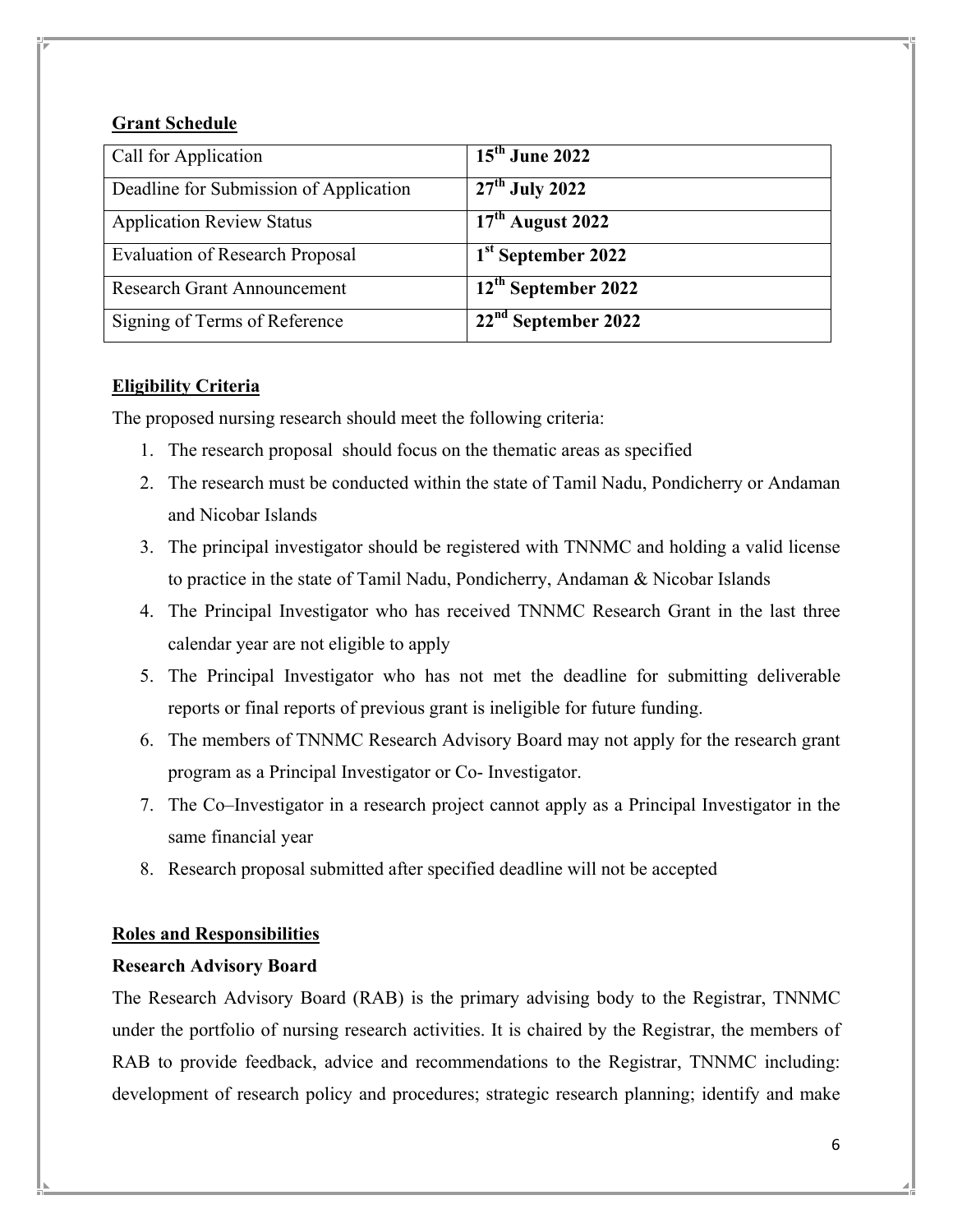## **Grant Schedule**

| Call for Application                   | $15th$ June 2022                |
|----------------------------------------|---------------------------------|
| Deadline for Submission of Application | $27th$ July 2022                |
| <b>Application Review Status</b>       | $17th$ August 2022              |
| <b>Evaluation of Research Proposal</b> | 1 <sup>st</sup> September 2022  |
| <b>Research Grant Announcement</b>     | 12 <sup>th</sup> September 2022 |
| Signing of Terms of Reference          | $22nd$ September 2022           |

## **Eligibility Criteria**

The proposed nursing research should meet the following criteria:

- 1. The research proposal should focus on the thematic areas as specified
- 2. The research must be conducted within the state of Tamil Nadu, Pondicherry or Andaman and Nicobar Islands
- 3. The principal investigator should be registered with TNNMC and holding a valid license to practice in the state of Tamil Nadu, Pondicherry, Andaman & Nicobar Islands
- 4. The Principal Investigator who has received TNNMC Research Grant in the last three calendar year are not eligible to apply
- 5. The Principal Investigator who has not met the deadline for submitting deliverable reports or final reports of previous grant is ineligible for future funding.
- 6. The members of TNNMC Research Advisory Board may not apply for the research grant program as a Principal Investigator or Co- Investigator.
- 7. The Co–Investigator in a research project cannot apply as a Principal Investigator in the same financial year
- 8. Research proposal submitted after specified deadline will not be accepted

## **Roles and Responsibilities**

## **Research Advisory Board**

The Research Advisory Board (RAB) is the primary advising body to the Registrar, TNNMC under the portfolio of nursing research activities. It is chaired by the Registrar, the members of RAB to provide feedback, advice and recommendations to the Registrar, TNNMC including: development of research policy and procedures; strategic research planning; identify and make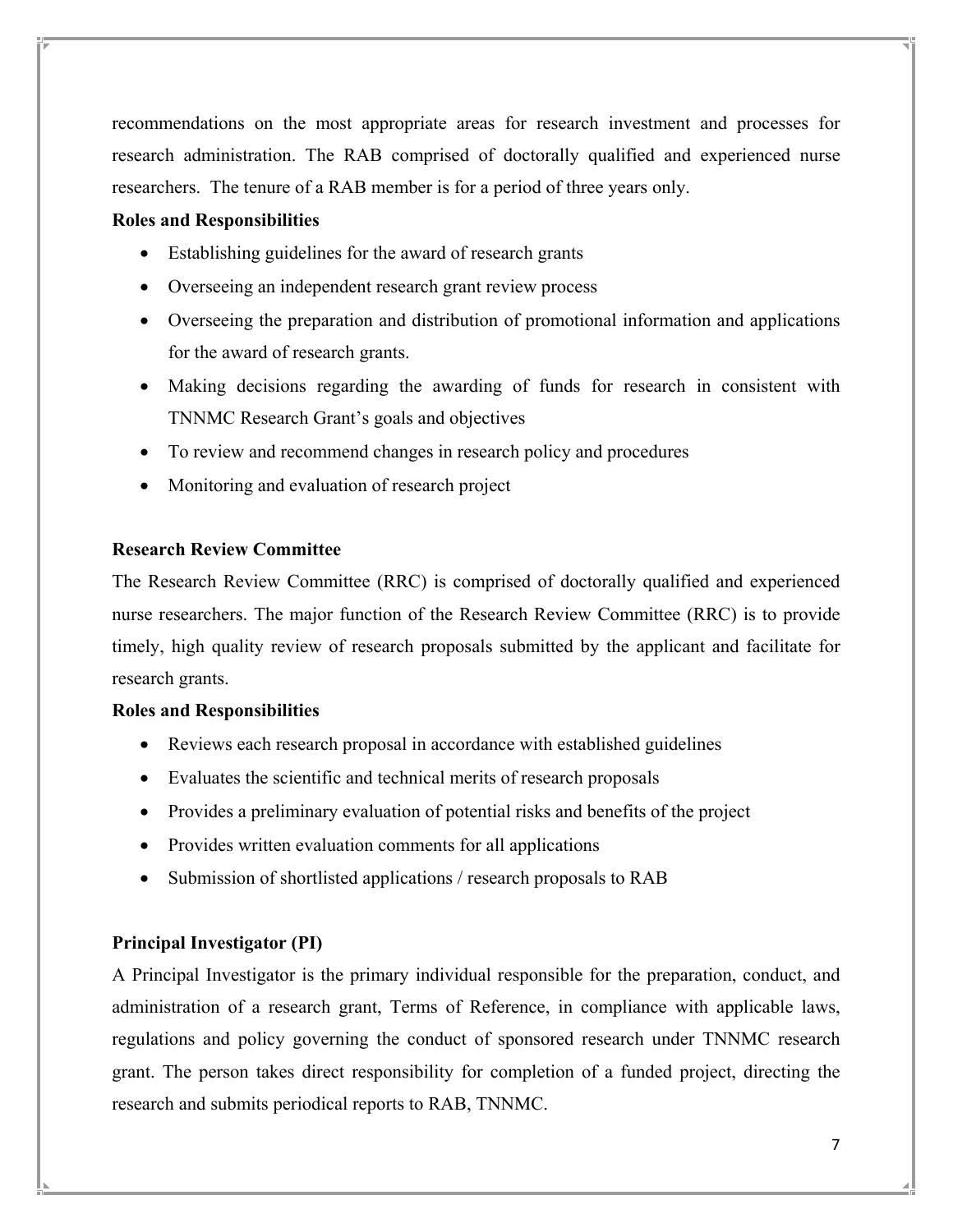recommendations on the most appropriate areas for research investment and processes for research administration. The RAB comprised of doctorally qualified and experienced nurse researchers. The tenure of a RAB member is for a period of three years only.

#### **Roles and Responsibilities**

- Establishing guidelines for the award of research grants
- Overseeing an independent research grant review process
- Overseeing the preparation and distribution of promotional information and applications for the award of research grants.
- Making decisions regarding the awarding of funds for research in consistent with TNNMC Research Grant's goals and objectives
- To review and recommend changes in research policy and procedures
- Monitoring and evaluation of research project

## **Research Review Committee**

The Research Review Committee (RRC) is comprised of doctorally qualified and experienced nurse researchers. The major function of the Research Review Committee (RRC) is to provide timely, high quality review of research proposals submitted by the applicant and facilitate for research grants.

#### **Roles and Responsibilities**

- Reviews each research proposal in accordance with established guidelines
- Evaluates the scientific and technical merits of research proposals
- Provides a preliminary evaluation of potential risks and benefits of the project
- Provides written evaluation comments for all applications
- Submission of shortlisted applications / research proposals to RAB

#### **Principal Investigator (PI)**

A Principal Investigator is the primary individual responsible for the preparation, conduct, and administration of a research grant, Terms of Reference, in compliance with applicable laws, regulations and policy governing the conduct of sponsored research under TNNMC research grant. The person takes direct responsibility for completion of a funded project, directing the research and submits periodical reports to RAB, TNNMC.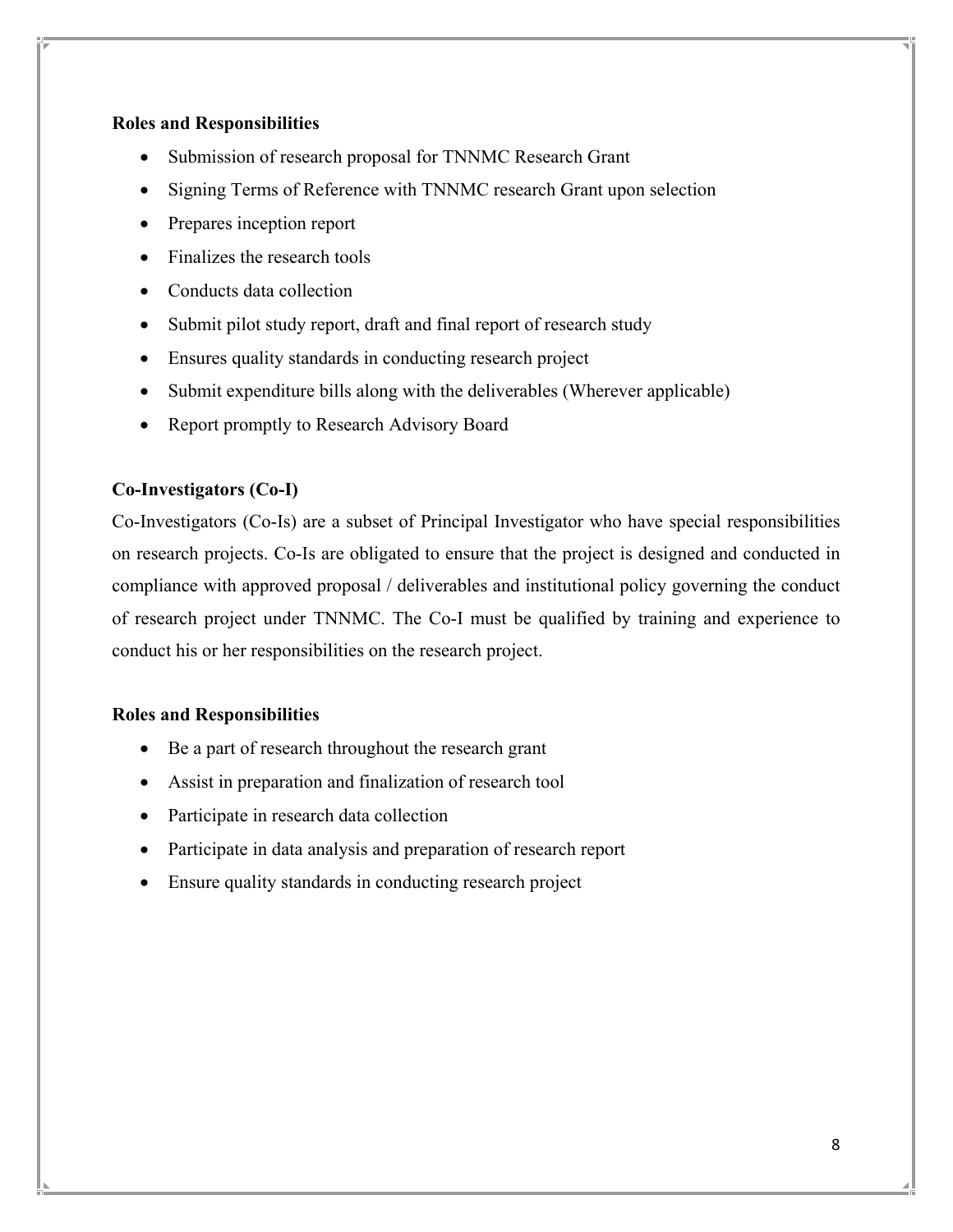## **Roles and Responsibilities**

- Submission of research proposal for TNNMC Research Grant
- Signing Terms of Reference with TNNMC research Grant upon selection
- Prepares inception report
- Finalizes the research tools
- Conducts data collection
- Submit pilot study report, draft and final report of research study
- Ensures quality standards in conducting research project
- Submit expenditure bills along with the deliverables (Wherever applicable)
- Report promptly to Research Advisory Board

## **Co-Investigators (Co-I)**

Co-Investigators (Co-Is) are a subset of Principal Investigator who have special responsibilities on research projects. Co-Is are obligated to ensure that the project is designed and conducted in compliance with approved proposal / deliverables and institutional policy governing the conduct of research project under TNNMC. The Co-I must be qualified by training and experience to conduct his or her responsibilities on the research project.

## **Roles and Responsibilities**

- Be a part of research throughout the research grant
- Assist in preparation and finalization of research tool
- Participate in research data collection
- Participate in data analysis and preparation of research report
- Ensure quality standards in conducting research project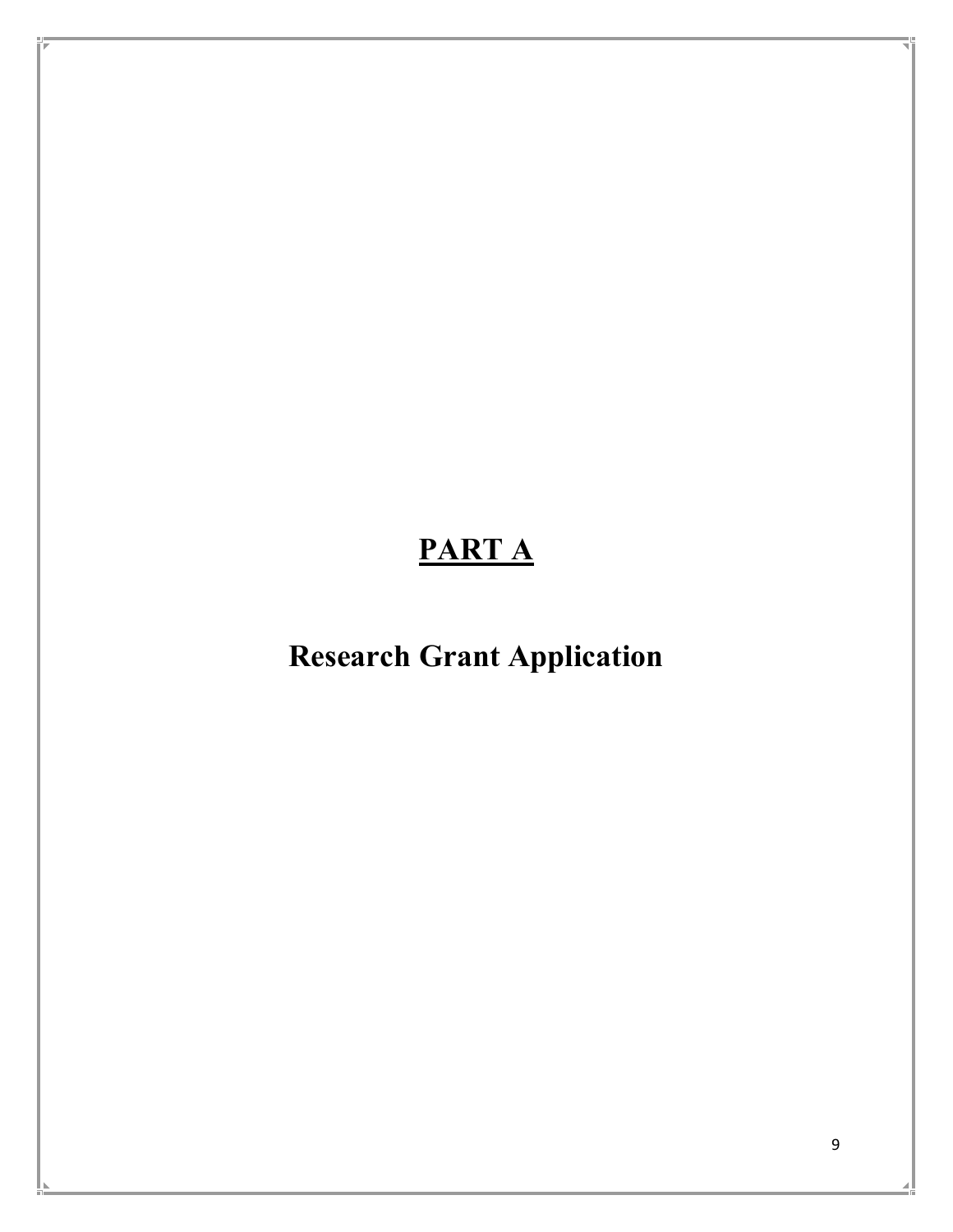# **PART A**

# **Research Grant Application**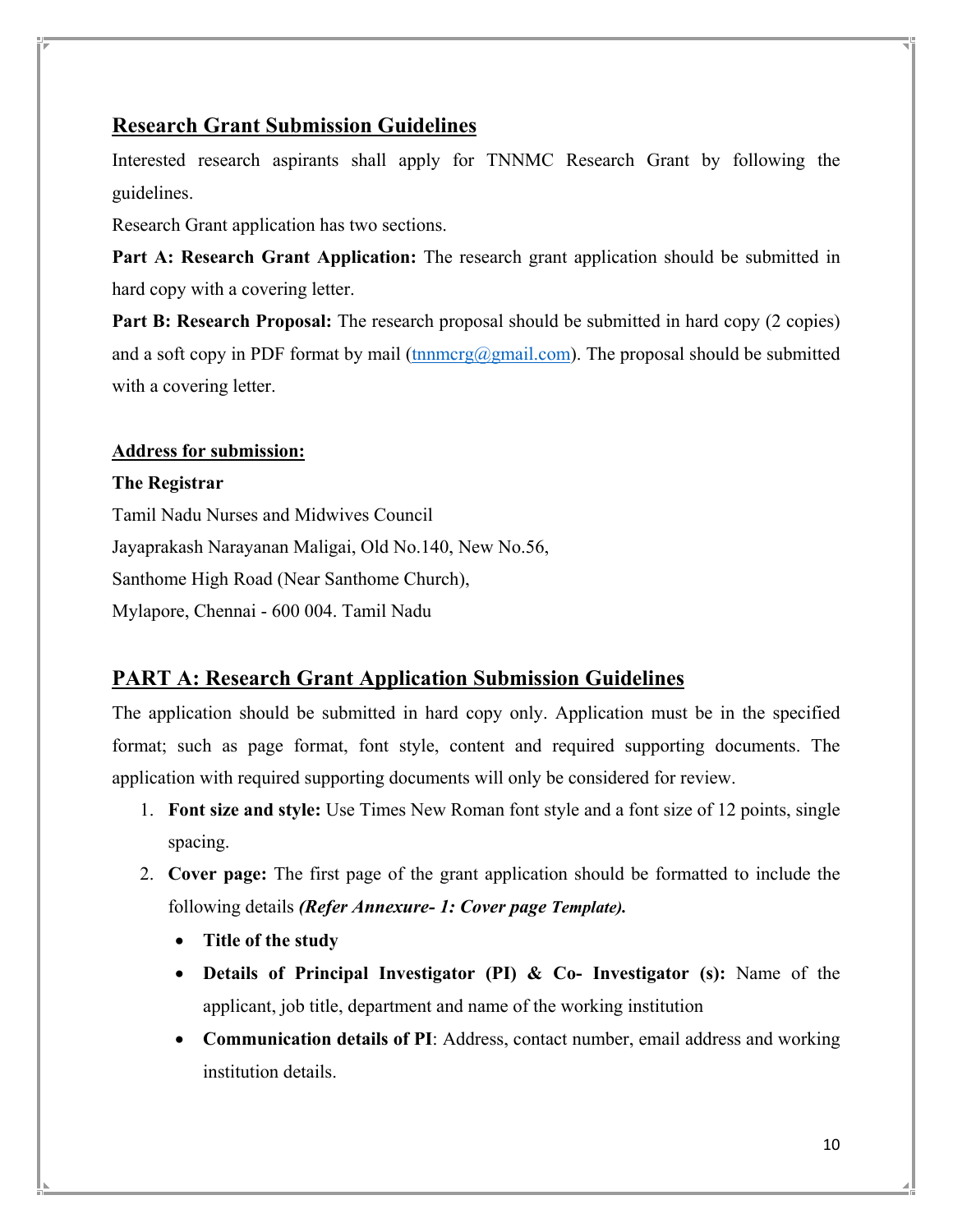## **Research Grant Submission Guidelines**

Interested research aspirants shall apply for TNNMC Research Grant by following the guidelines.

Research Grant application has two sections.

**Part A: Research Grant Application:** The research grant application should be submitted in hard copy with a covering letter.

**Part B: Research Proposal:** The research proposal should be submitted in hard copy (2 copies) and a soft copy in PDF format by mail (tnnmcrg@gmail.com). The proposal should be submitted with a covering letter.

## **Address for submission:**

### **The Registrar**

Tamil Nadu Nurses and Midwives Council Jayaprakash Narayanan Maligai, Old No.140, New No.56, Santhome High Road (Near Santhome Church), Mylapore, Chennai - 600 004. Tamil Nadu

## **PART A: Research Grant Application Submission Guidelines**

The application should be submitted in hard copy only. Application must be in the specified format; such as page format, font style, content and required supporting documents. The application with required supporting documents will only be considered for review.

- 1. **Font size and style:** Use Times New Roman font style and a font size of 12 points, single spacing.
- 2. **Cover page:** The first page of the grant application should be formatted to include the following details *(Refer Annexure- 1: Cover page Template).*
	- **Title of the study**
	- **Details of Principal Investigator (PI) & Co- Investigator (s):** Name of the applicant, job title, department and name of the working institution
	- **Communication details of PI**: Address, contact number, email address and working institution details.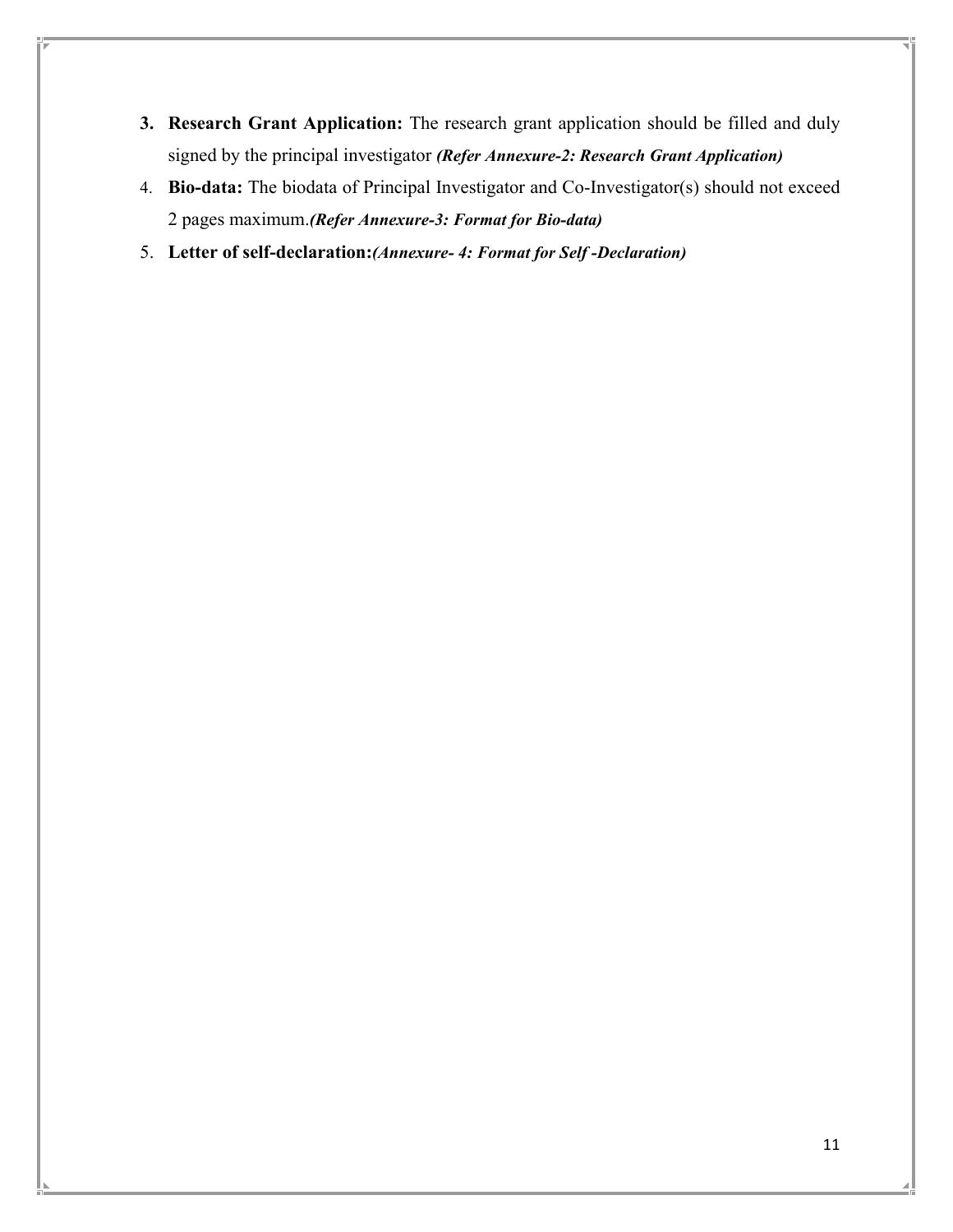- **3. Research Grant Application:** The research grant application should be filled and duly signed by the principal investigator *(Refer Annexure-2: Research Grant Application)*
- 4. **Bio-data:** The biodata of Principal Investigator and Co-Investigator(s) should not exceed 2 pages maximum.*(Refer Annexure-3: Format for Bio-data)*
- 5. **Letter of self-declaration:***(Annexure- 4: Format for Self -Declaration)*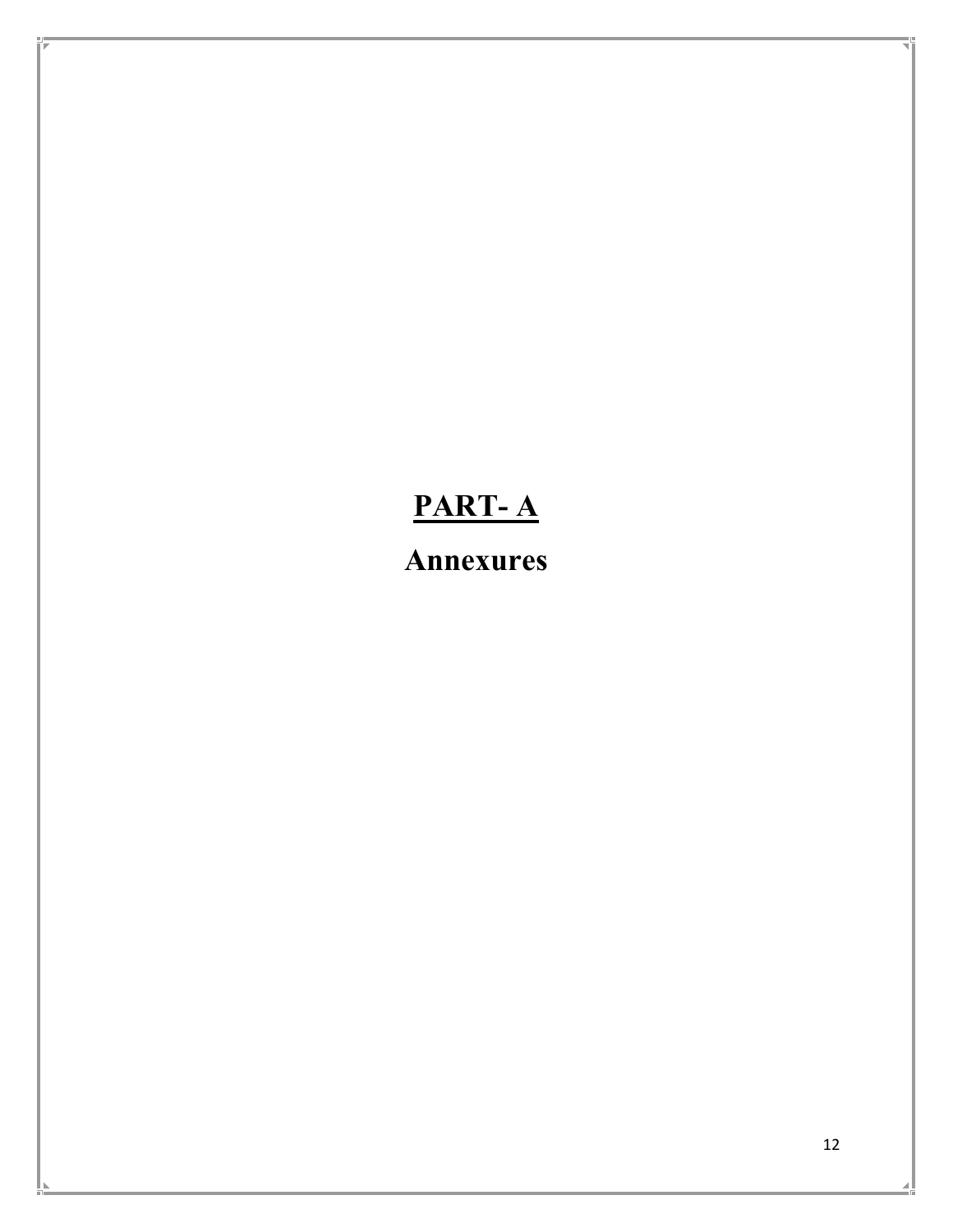# **PART- A**

**Annexures**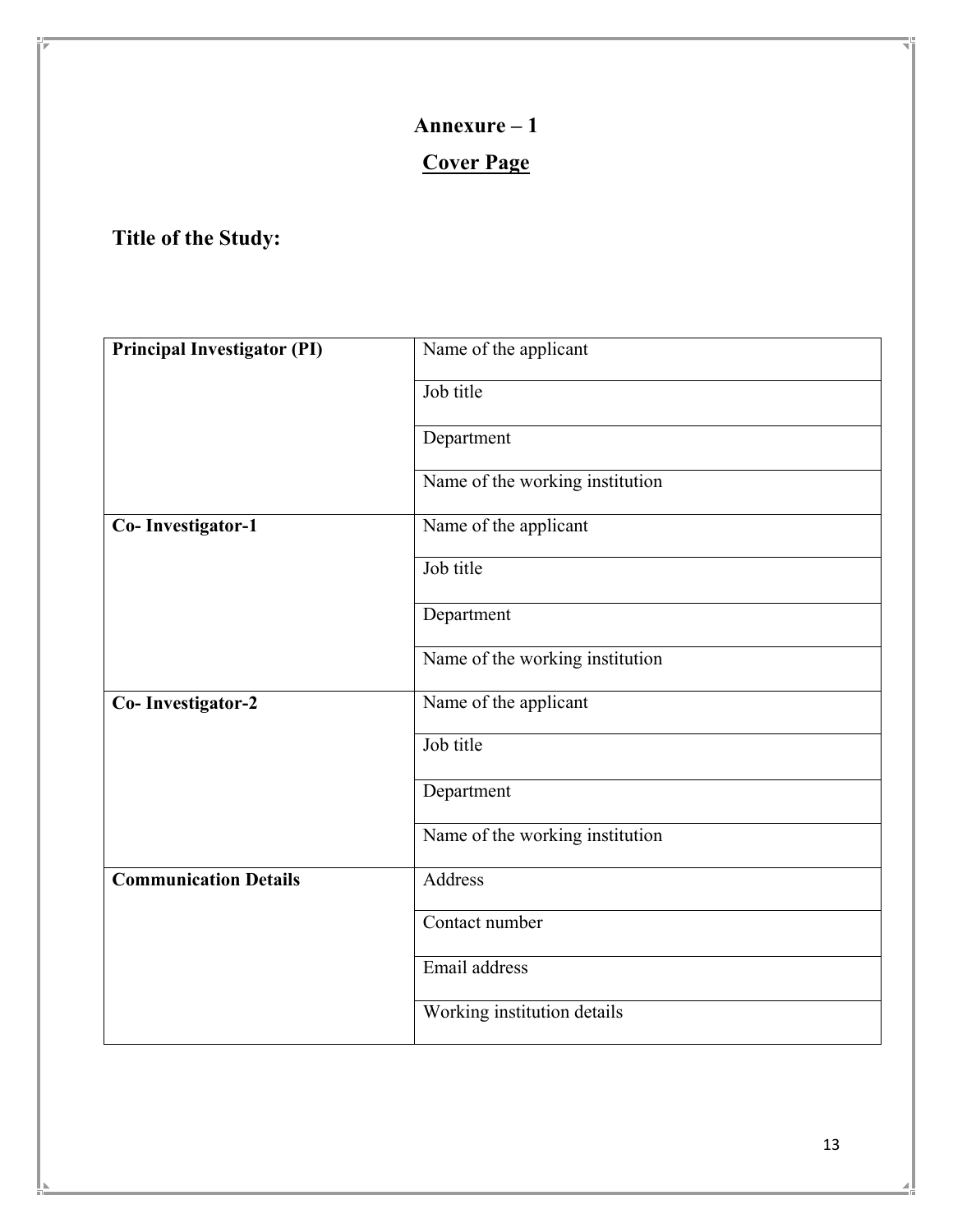# **Cover Page**

# **Title of the Study:**

| <b>Principal Investigator (PI)</b> | Name of the applicant           |
|------------------------------------|---------------------------------|
|                                    | Job title                       |
|                                    | Department                      |
|                                    | Name of the working institution |
| Co-Investigator-1                  | Name of the applicant           |
|                                    | Job title                       |
|                                    | Department                      |
|                                    | Name of the working institution |
| Co-Investigator-2                  | Name of the applicant           |
|                                    | Job title                       |
|                                    | Department                      |
|                                    | Name of the working institution |
| <b>Communication Details</b>       | Address                         |
|                                    | Contact number                  |
|                                    | Email address                   |
|                                    | Working institution details     |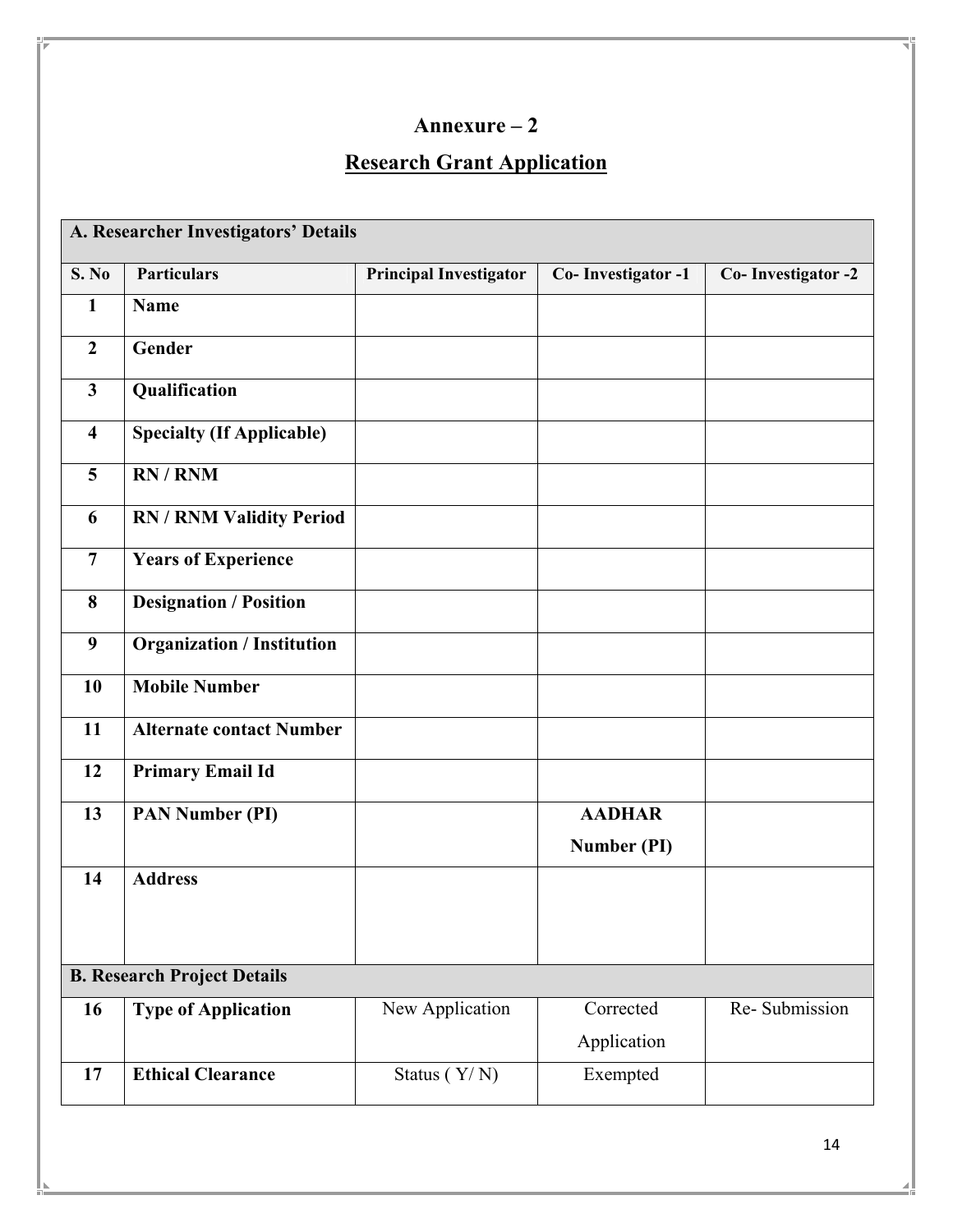# **Research Grant Application**

|                         | A. Researcher Investigators' Details |                               |                    |                    |  |
|-------------------------|--------------------------------------|-------------------------------|--------------------|--------------------|--|
| S. No                   | <b>Particulars</b>                   | <b>Principal Investigator</b> | Co-Investigator -1 | Co-Investigator -2 |  |
| $\mathbf{1}$            | <b>Name</b>                          |                               |                    |                    |  |
| $\overline{2}$          | Gender                               |                               |                    |                    |  |
| $\overline{\mathbf{3}}$ | Qualification                        |                               |                    |                    |  |
| $\overline{\mathbf{4}}$ | <b>Specialty (If Applicable)</b>     |                               |                    |                    |  |
| 5                       | RN / RNM                             |                               |                    |                    |  |
| 6                       | <b>RN / RNM Validity Period</b>      |                               |                    |                    |  |
| $\overline{7}$          | <b>Years of Experience</b>           |                               |                    |                    |  |
| 8                       | <b>Designation / Position</b>        |                               |                    |                    |  |
| 9                       | <b>Organization / Institution</b>    |                               |                    |                    |  |
| 10                      | <b>Mobile Number</b>                 |                               |                    |                    |  |
| 11                      | <b>Alternate contact Number</b>      |                               |                    |                    |  |
| 12                      | <b>Primary Email Id</b>              |                               |                    |                    |  |
| 13                      | <b>PAN Number (PI)</b>               |                               | <b>AADHAR</b>      |                    |  |
|                         |                                      |                               | Number (PI)        |                    |  |
| 14                      | <b>Address</b>                       |                               |                    |                    |  |
|                         |                                      |                               |                    |                    |  |
|                         | <b>B. Research Project Details</b>   |                               |                    |                    |  |
| 16                      | <b>Type of Application</b>           | New Application               | Corrected          | Re-Submission      |  |
|                         |                                      |                               | Application        |                    |  |
| 17                      | <b>Ethical Clearance</b>             | Status $(Y/N)$                | Exempted           |                    |  |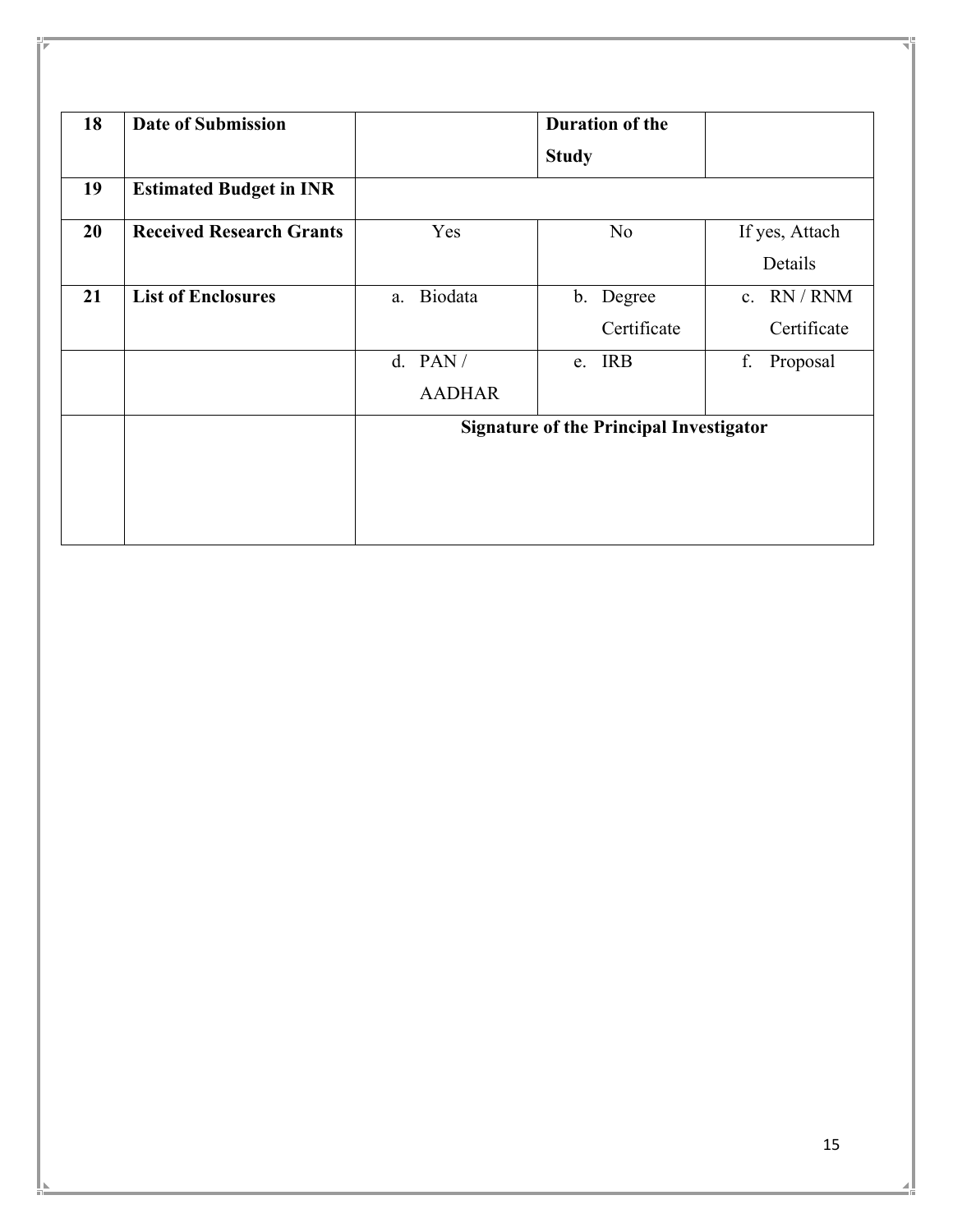| 18 | <b>Date of Submission</b>       |                            | <b>Duration of the</b>                         |                                           |
|----|---------------------------------|----------------------------|------------------------------------------------|-------------------------------------------|
|    |                                 |                            | <b>Study</b>                                   |                                           |
| 19 | <b>Estimated Budget in INR</b>  |                            |                                                |                                           |
| 20 | <b>Received Research Grants</b> | Yes                        | N <sub>o</sub>                                 | If yes, Attach<br>Details                 |
| 21 | <b>List of Enclosures</b>       | Biodata<br>a.              | b. Degree<br>Certificate                       | RN / RNM<br>$\mathbf{c}$ .<br>Certificate |
|    |                                 | d. $PAN/$<br><b>AADHAR</b> | e. IRB                                         | f.<br>Proposal                            |
|    |                                 |                            | <b>Signature of the Principal Investigator</b> |                                           |
|    |                                 |                            |                                                |                                           |
|    |                                 |                            |                                                |                                           |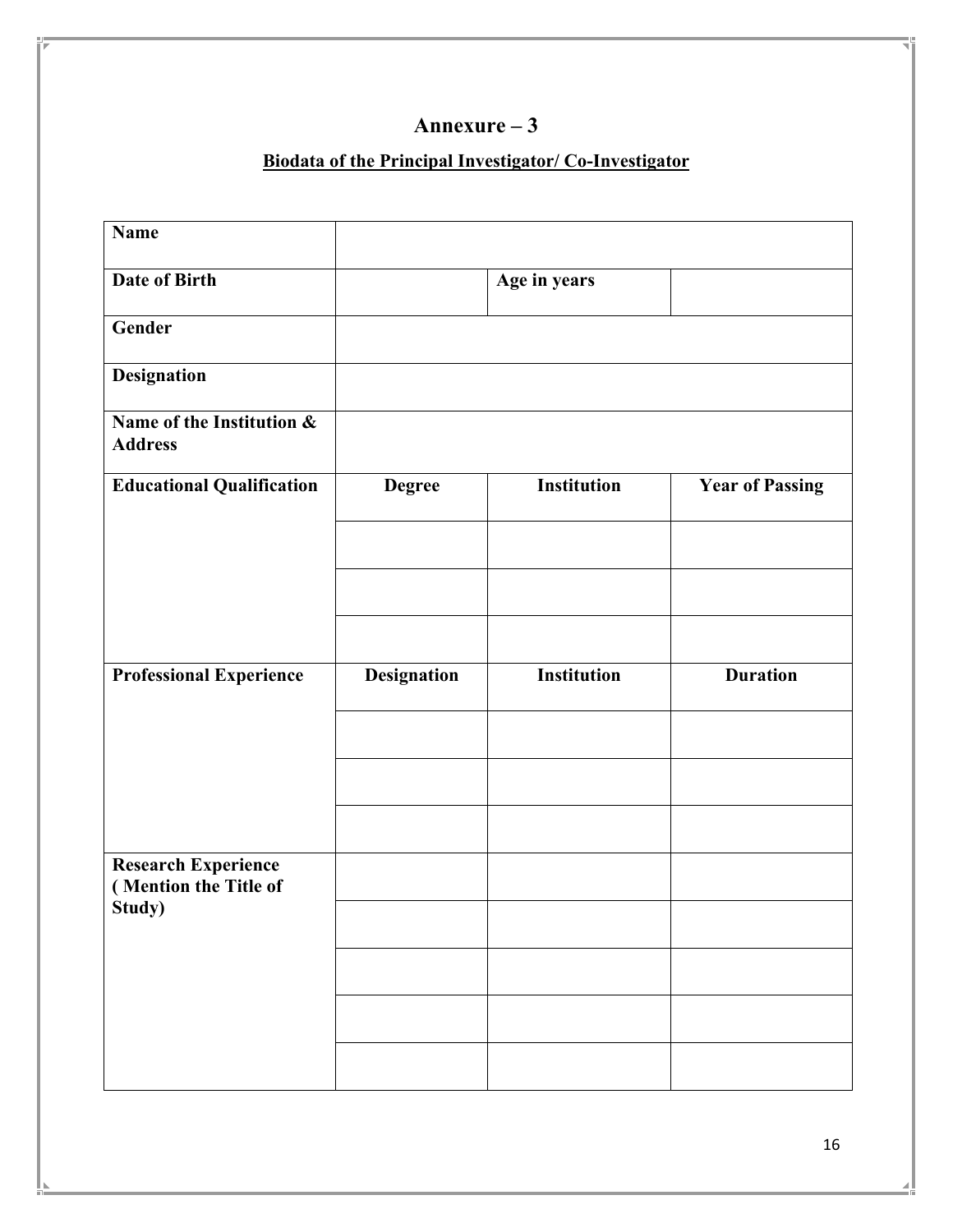## **Biodata of the Principal Investigator/ Co-Investigator**

| <b>Name</b>                                         |                    |                    |                        |
|-----------------------------------------------------|--------------------|--------------------|------------------------|
| Date of Birth                                       |                    | Age in years       |                        |
| Gender                                              |                    |                    |                        |
| <b>Designation</b>                                  |                    |                    |                        |
| Name of the Institution &<br><b>Address</b>         |                    |                    |                        |
| <b>Educational Qualification</b>                    | <b>Degree</b>      | <b>Institution</b> | <b>Year of Passing</b> |
|                                                     |                    |                    |                        |
|                                                     |                    |                    |                        |
|                                                     |                    |                    |                        |
| <b>Professional Experience</b>                      | <b>Designation</b> | <b>Institution</b> | <b>Duration</b>        |
|                                                     |                    |                    |                        |
|                                                     |                    |                    |                        |
|                                                     |                    |                    |                        |
|                                                     |                    |                    |                        |
| <b>Research Experience</b><br>(Mention the Title of |                    |                    |                        |
| Study)                                              |                    |                    |                        |
|                                                     |                    |                    |                        |
|                                                     |                    |                    |                        |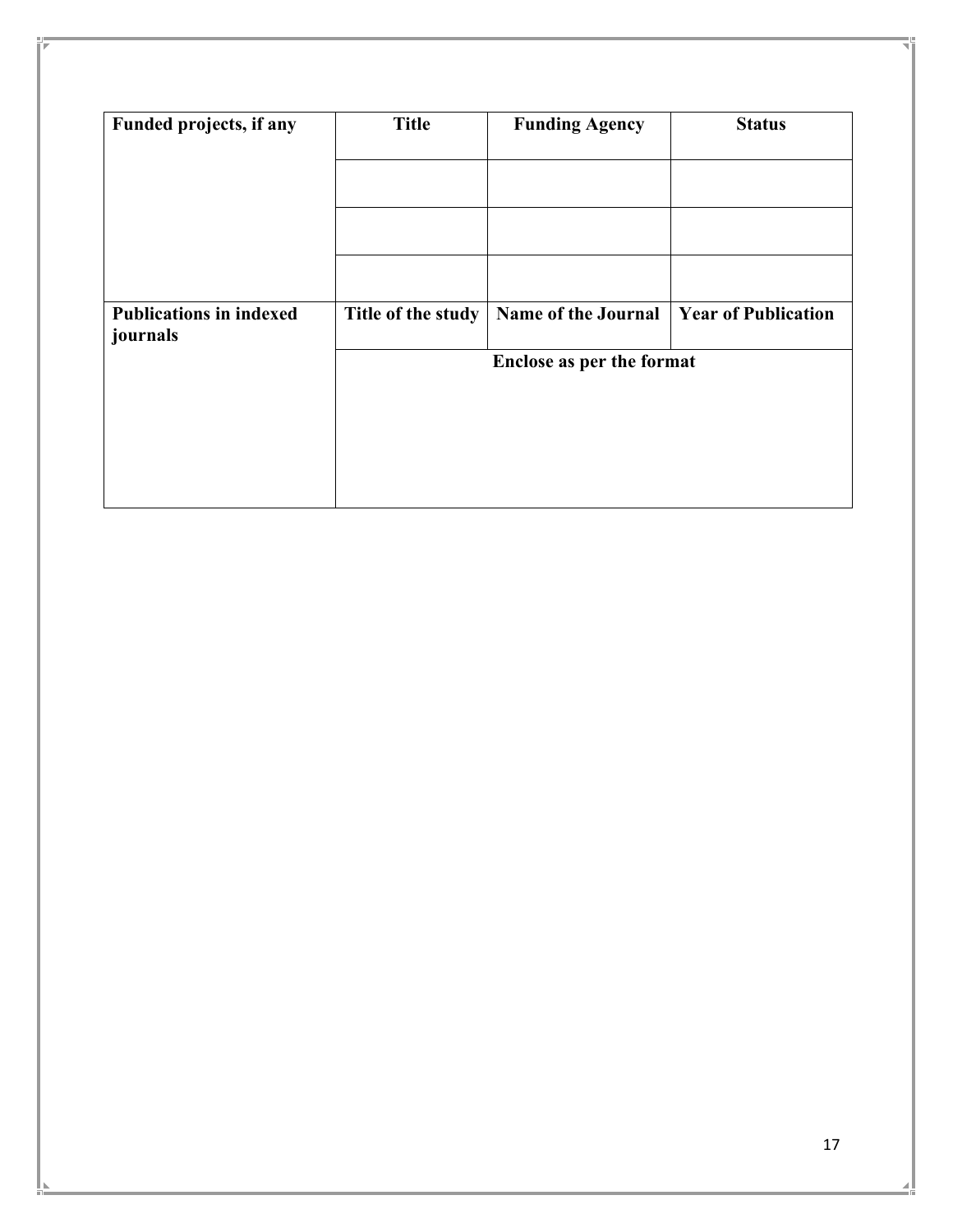| Funded projects, if any                    | <b>Title</b>       | <b>Funding Agency</b>      | <b>Status</b>              |
|--------------------------------------------|--------------------|----------------------------|----------------------------|
|                                            |                    |                            |                            |
|                                            |                    |                            |                            |
|                                            |                    |                            |                            |
| <b>Publications in indexed</b><br>journals | Title of the study | <b>Name of the Journal</b> | <b>Year of Publication</b> |
|                                            |                    | Enclose as per the format  |                            |
|                                            |                    |                            |                            |
|                                            |                    |                            |                            |
|                                            |                    |                            |                            |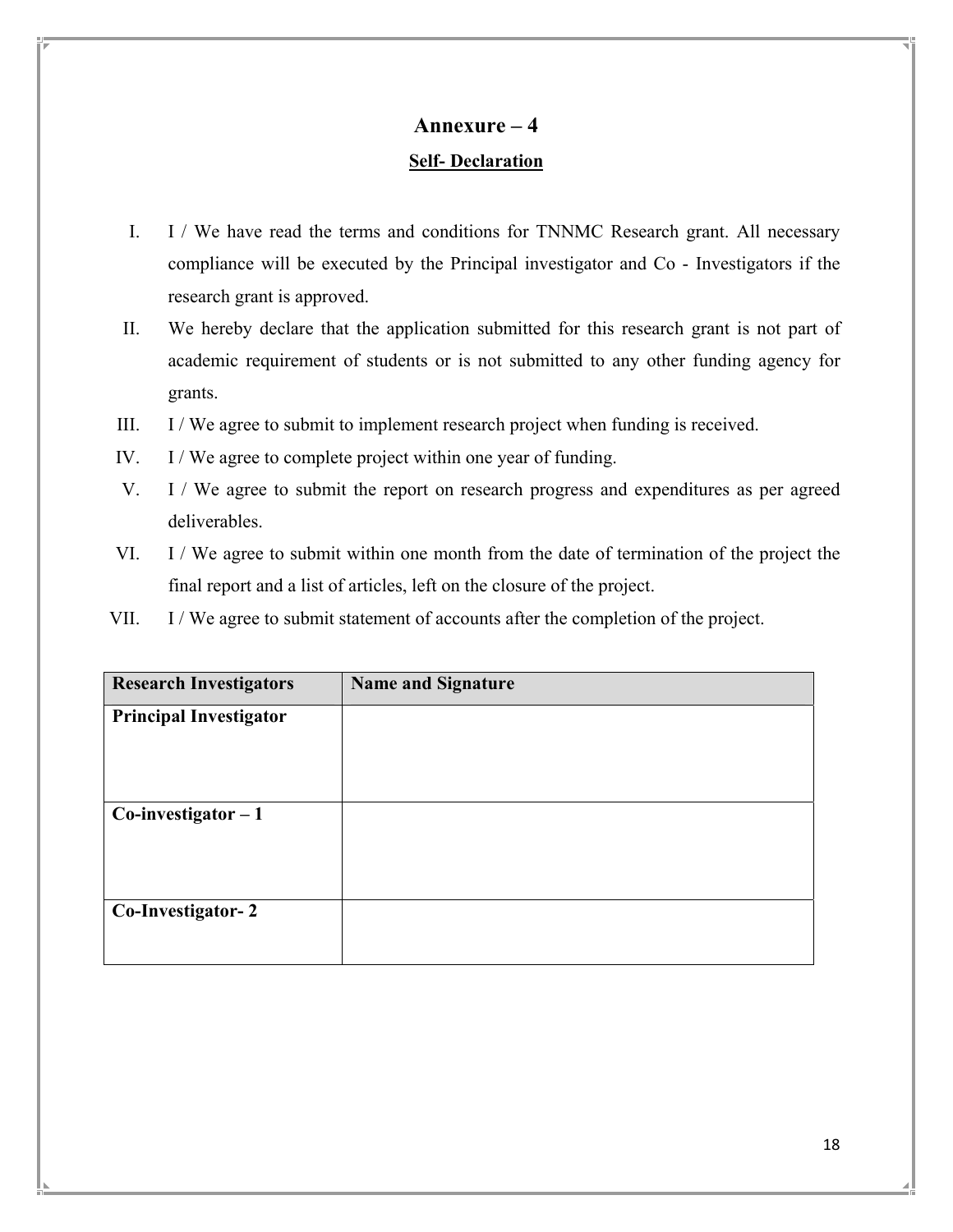# **Annexure – 4 Self- Declaration**

- I. I / We have read the terms and conditions for TNNMC Research grant. All necessary compliance will be executed by the Principal investigator and Co - Investigators if the research grant is approved.
- II. We hereby declare that the application submitted for this research grant is not part of academic requirement of students or is not submitted to any other funding agency for grants.
- III. I / We agree to submit to implement research project when funding is received.
- IV. I / We agree to complete project within one year of funding.
- V. I / We agree to submit the report on research progress and expenditures as per agreed deliverables.
- VI. I / We agree to submit within one month from the date of termination of the project the final report and a list of articles, left on the closure of the project.
- VII. I / We agree to submit statement of accounts after the completion of the project.

| <b>Research Investigators</b> | <b>Name and Signature</b> |
|-------------------------------|---------------------------|
| <b>Principal Investigator</b> |                           |
| $Co$ -investigator $-1$       |                           |
| Co-Investigator-2             |                           |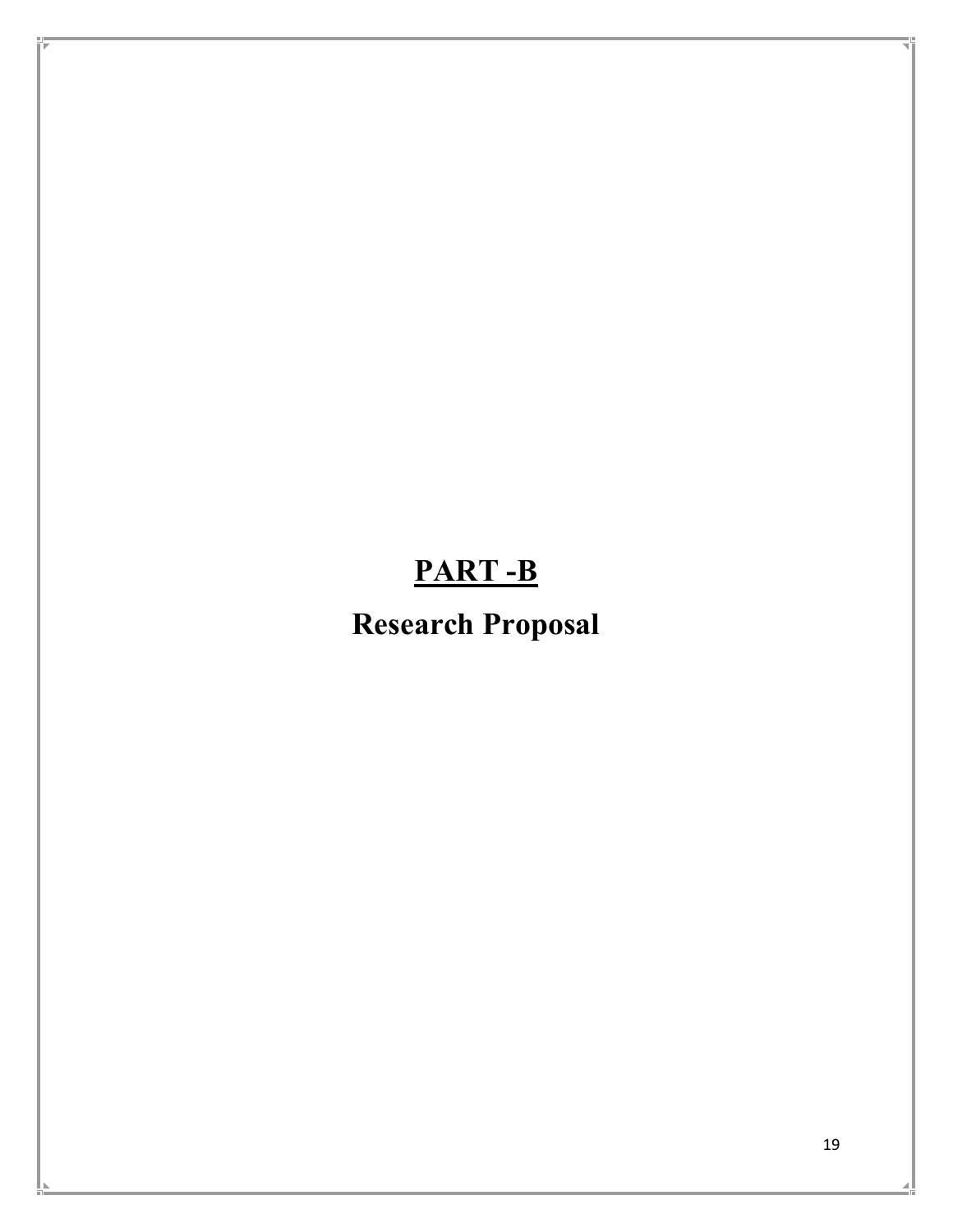# **PART -B**

# **Research Proposal**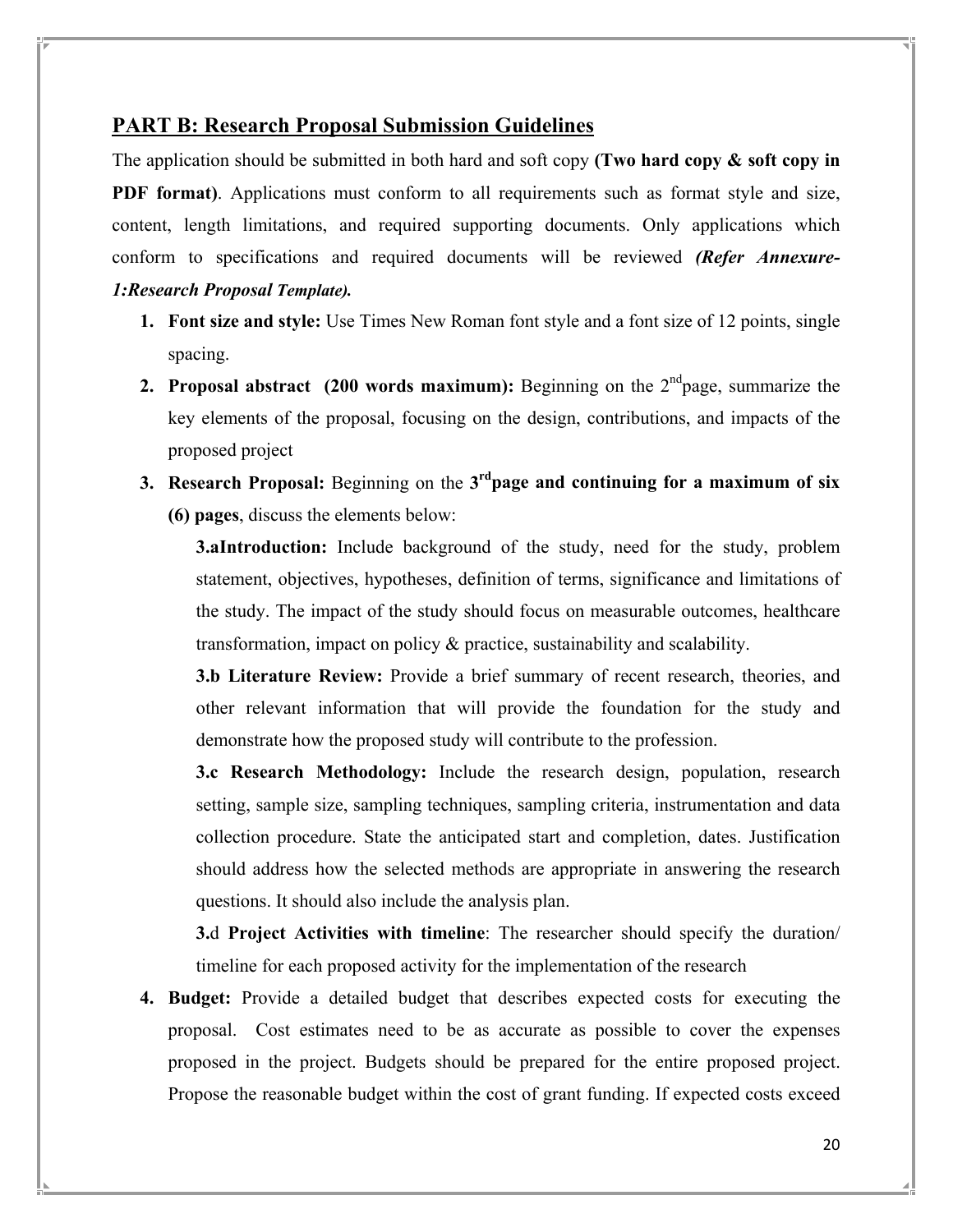## **PART B: Research Proposal Submission Guidelines**

The application should be submitted in both hard and soft copy **(Two hard copy & soft copy in PDF format)**. Applications must conform to all requirements such as format style and size, content, length limitations, and required supporting documents. Only applications which conform to specifications and required documents will be reviewed *(Refer Annexure-1:Research Proposal Template).*

- **1. Font size and style:** Use Times New Roman font style and a font size of 12 points, single spacing.
- **2. Proposal abstract** (200 words maximum): Beginning on the  $2<sup>nd</sup>$  page, summarize the key elements of the proposal, focusing on the design, contributions, and impacts of the proposed project
- **3. Research Proposal:** Beginning on the **3rdpage and continuing for a maximum of six (6) pages**, discuss the elements below:

**3.aIntroduction:** Include background of the study, need for the study, problem statement, objectives, hypotheses, definition of terms, significance and limitations of the study. The impact of the study should focus on measurable outcomes, healthcare transformation, impact on policy & practice, sustainability and scalability.

**3.b Literature Review:** Provide a brief summary of recent research, theories, and other relevant information that will provide the foundation for the study and demonstrate how the proposed study will contribute to the profession.

**3.c Research Methodology:** Include the research design, population, research setting, sample size, sampling techniques, sampling criteria, instrumentation and data collection procedure. State the anticipated start and completion, dates. Justification should address how the selected methods are appropriate in answering the research questions. It should also include the analysis plan.

**3.**d **Project Activities with timeline**: The researcher should specify the duration/ timeline for each proposed activity for the implementation of the research

**4. Budget:** Provide a detailed budget that describes expected costs for executing the proposal. Cost estimates need to be as accurate as possible to cover the expenses proposed in the project. Budgets should be prepared for the entire proposed project. Propose the reasonable budget within the cost of grant funding. If expected costs exceed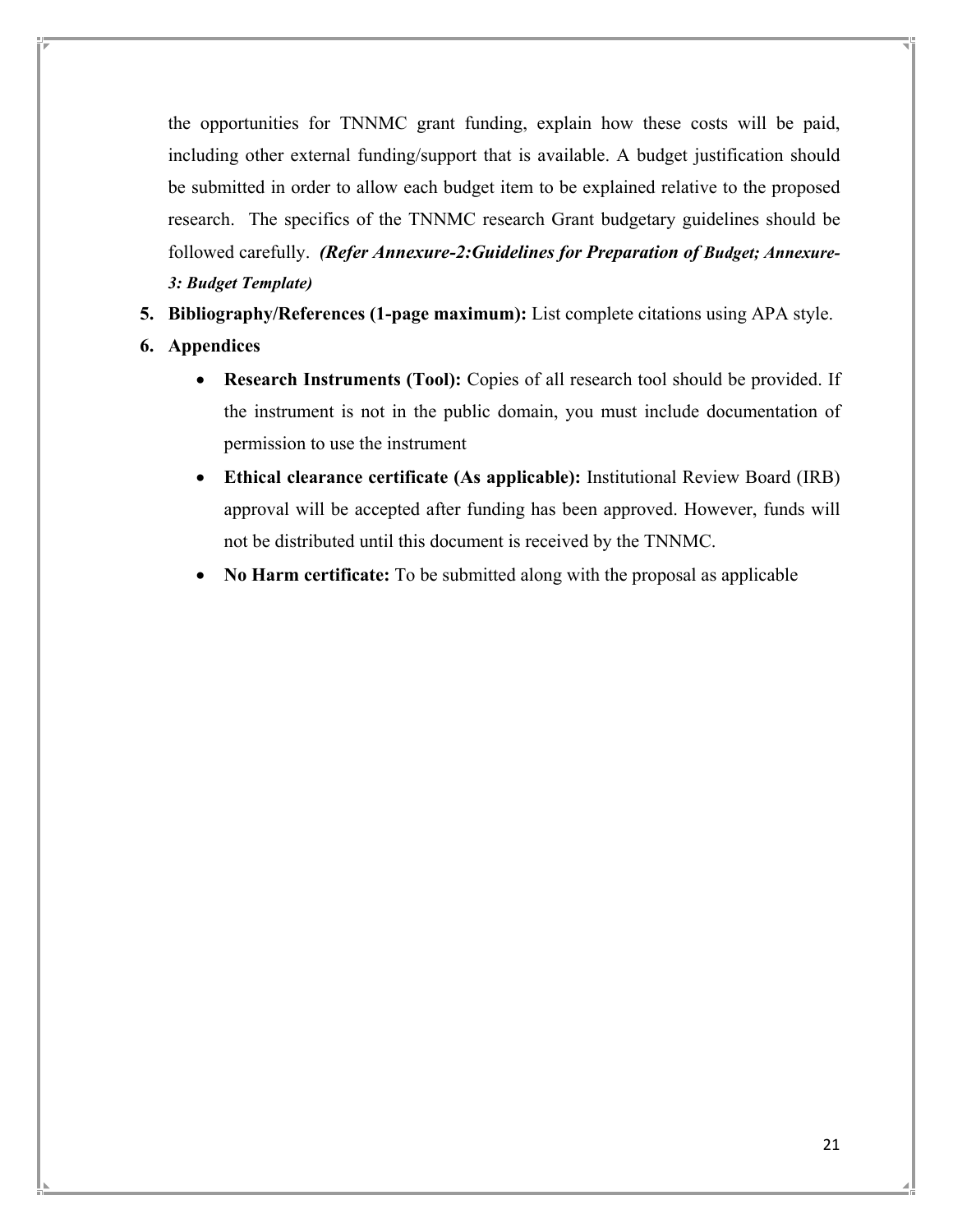the opportunities for TNNMC grant funding, explain how these costs will be paid, including other external funding/support that is available. A budget justification should be submitted in order to allow each budget item to be explained relative to the proposed research. The specifics of the TNNMC research Grant budgetary guidelines should be followed carefully. *(Refer Annexure-2:Guidelines for Preparation of Budget; Annexure-3: Budget Template)*

- **5. Bibliography/References (1-page maximum):** List complete citations using APA style.
- **6. Appendices** 
	- **Research Instruments (Tool):** Copies of all research tool should be provided. If the instrument is not in the public domain, you must include documentation of permission to use the instrument
	- **Ethical clearance certificate (As applicable):** Institutional Review Board (IRB) approval will be accepted after funding has been approved. However, funds will not be distributed until this document is received by the TNNMC.
	- **No Harm certificate:** To be submitted along with the proposal as applicable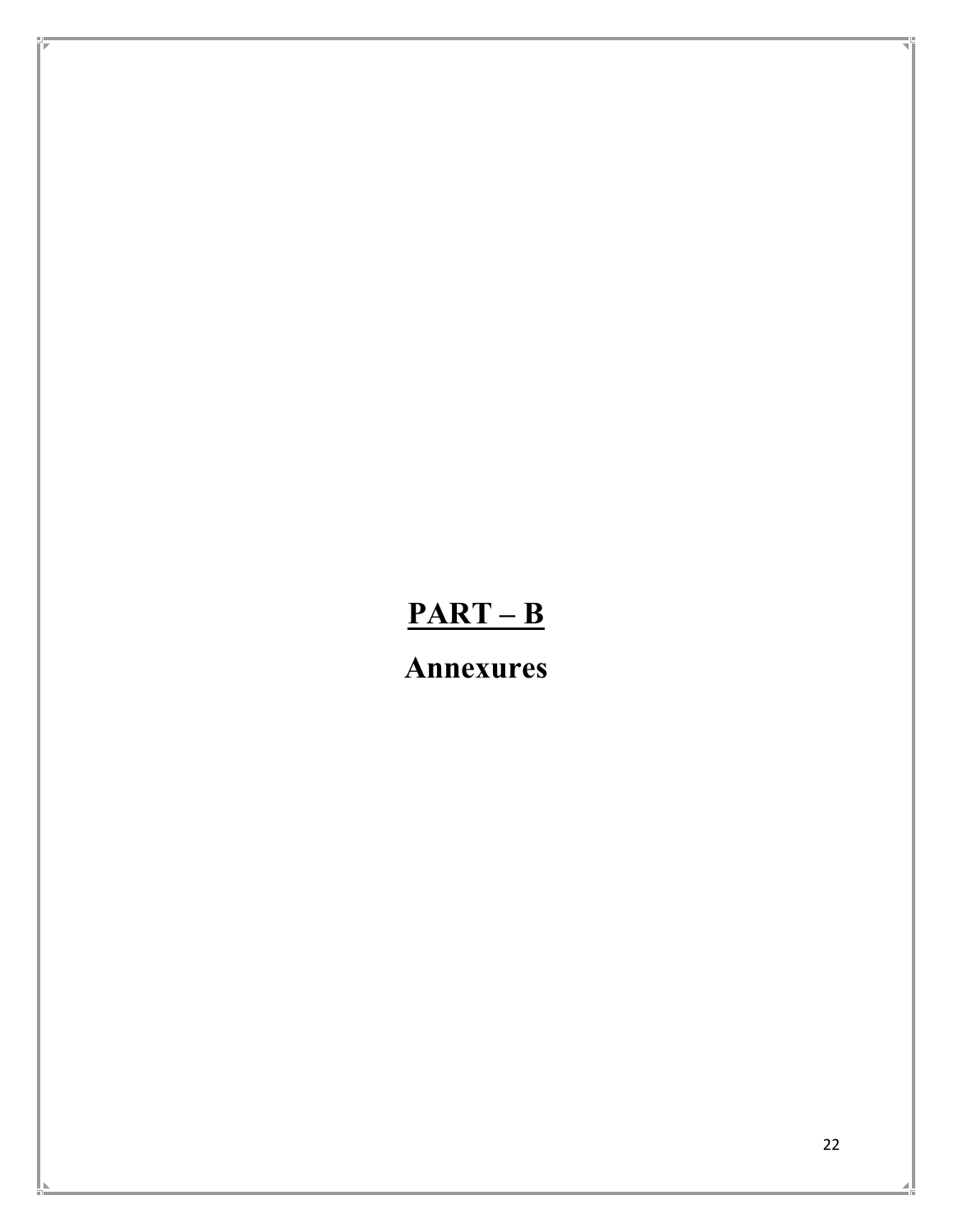# **PART – B**

**Annexures**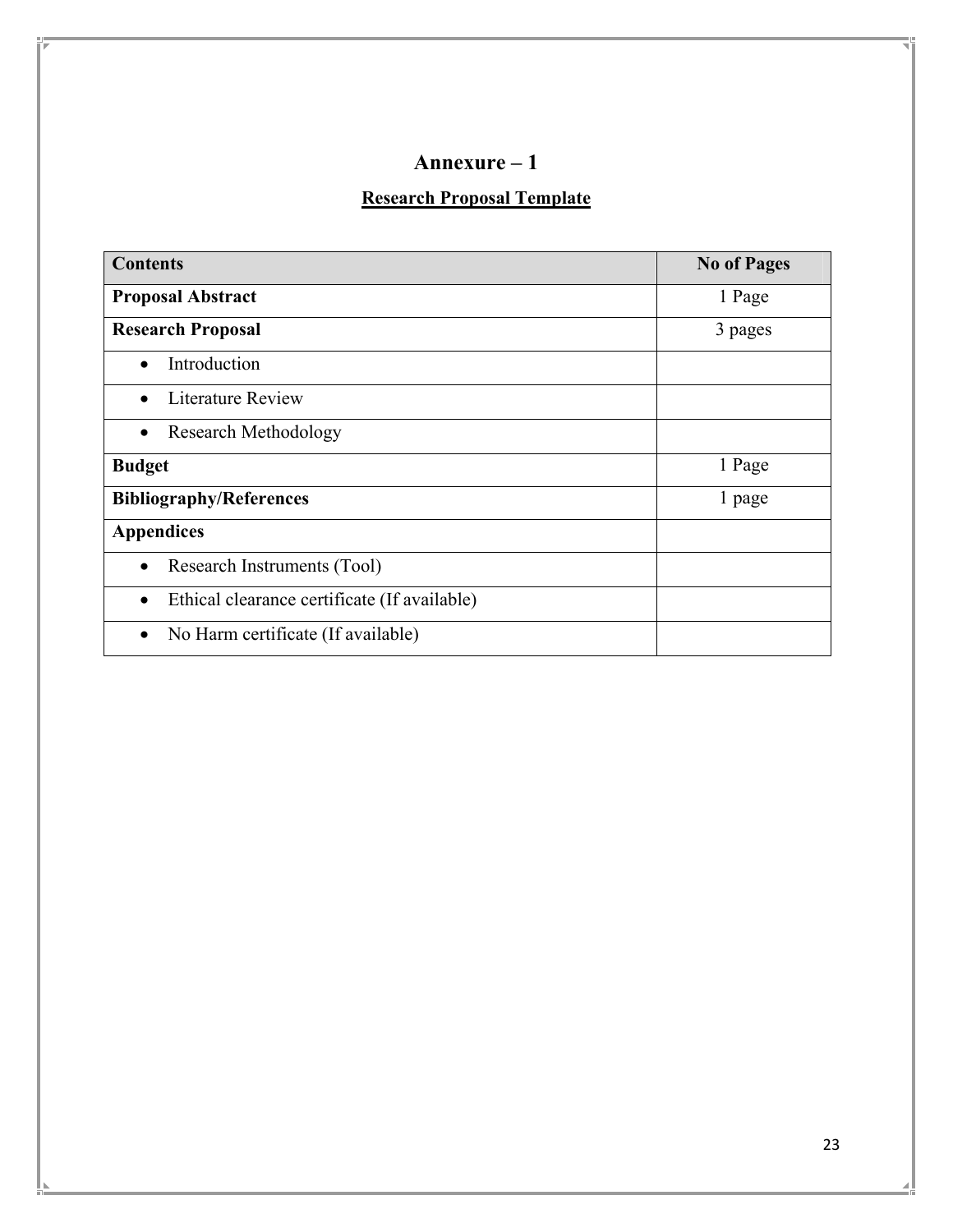# **Research Proposal Template**

| <b>Contents</b>                                           | <b>No of Pages</b> |
|-----------------------------------------------------------|--------------------|
| <b>Proposal Abstract</b>                                  | 1 Page             |
| <b>Research Proposal</b>                                  | 3 pages            |
| Introduction                                              |                    |
| Literature Review                                         |                    |
| <b>Research Methodology</b>                               |                    |
| <b>Budget</b>                                             | 1 Page             |
| <b>Bibliography/References</b>                            | 1 page             |
| <b>Appendices</b>                                         |                    |
| Research Instruments (Tool)<br>$\bullet$                  |                    |
| Ethical clearance certificate (If available)<br>$\bullet$ |                    |
| No Harm certificate (If available)                        |                    |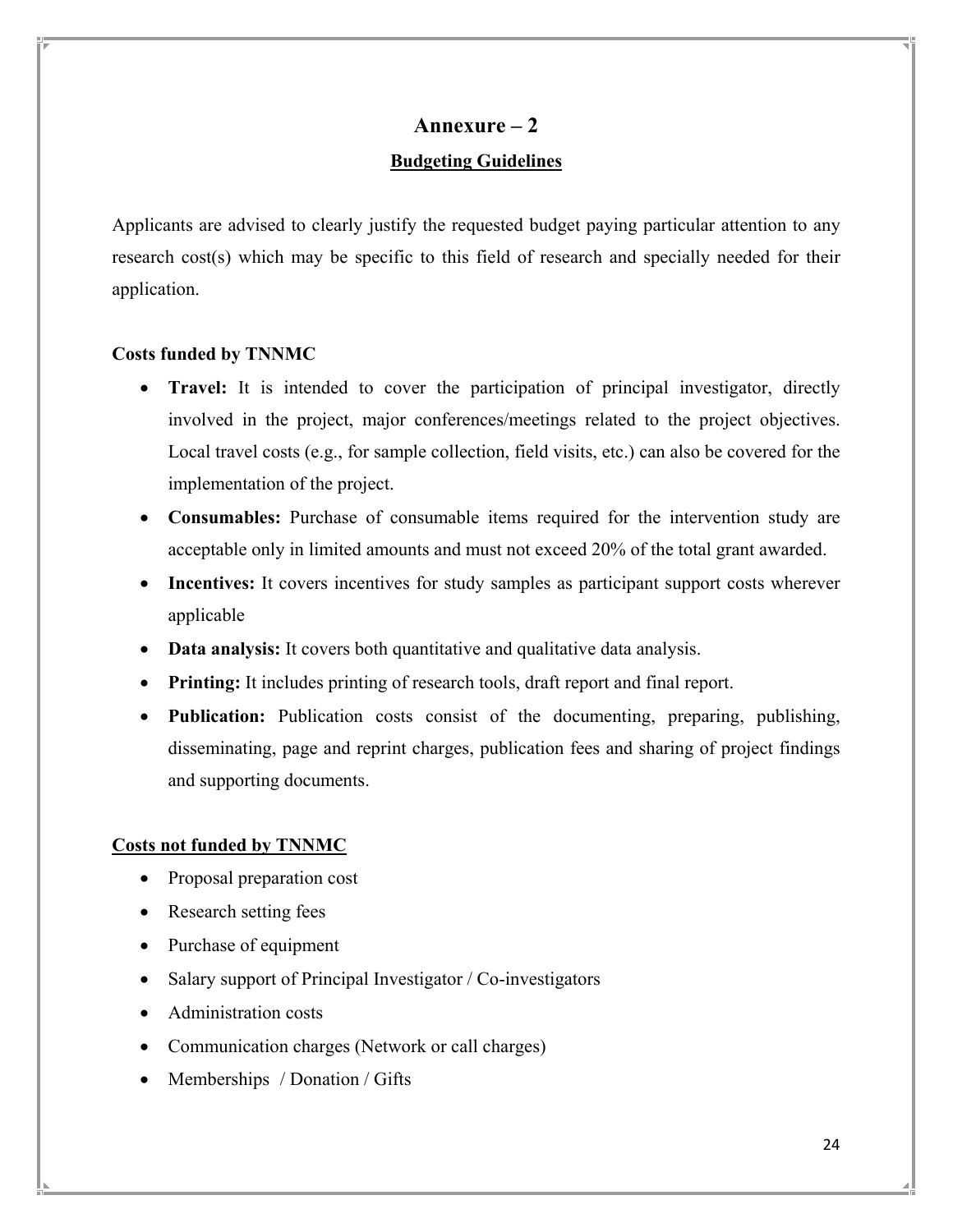# **Annexure – 2 Budgeting Guidelines**

Applicants are advised to clearly justify the requested budget paying particular attention to any research cost(s) which may be specific to this field of research and specially needed for their application.

## **Costs funded by TNNMC**

- **Travel:** It is intended to cover the participation of principal investigator, directly involved in the project, major conferences/meetings related to the project objectives. Local travel costs (e.g., for sample collection, field visits, etc.) can also be covered for the implementation of the project.
- **Consumables:** Purchase of consumable items required for the intervention study are acceptable only in limited amounts and must not exceed 20% of the total grant awarded.
- **Incentives:** It covers incentives for study samples as participant support costs wherever applicable
- **Data analysis:** It covers both quantitative and qualitative data analysis.
- **Printing:** It includes printing of research tools, draft report and final report.
- **Publication:** Publication costs consist of the documenting, preparing, publishing, disseminating, page and reprint charges, publication fees and sharing of project findings and supporting documents.

## **Costs not funded by TNNMC**

- Proposal preparation cost
- Research setting fees
- Purchase of equipment
- Salary support of Principal Investigator / Co-investigators
- Administration costs
- Communication charges (Network or call charges)
- Memberships / Donation / Gifts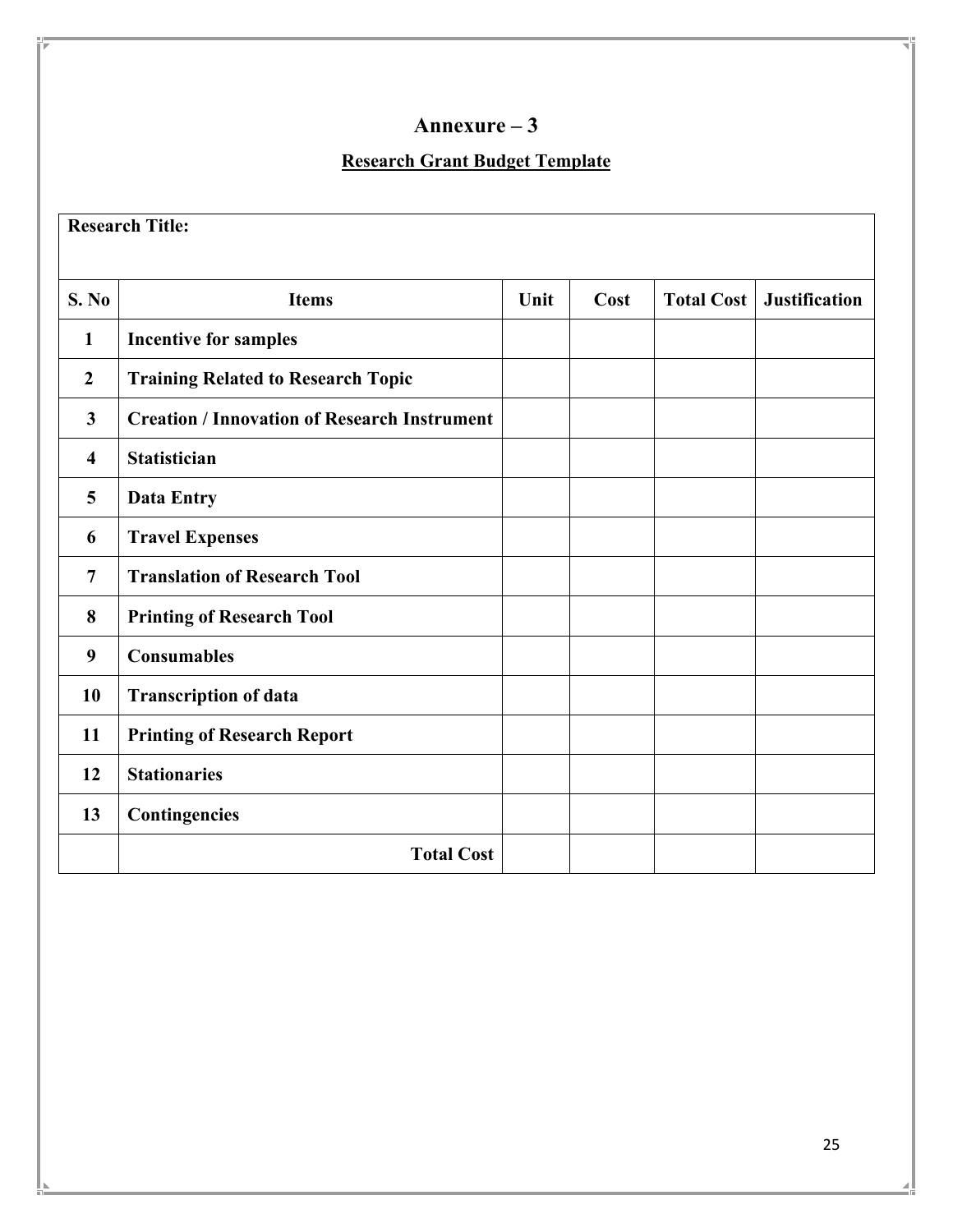## **Research Grant Budget Template**

**Research Title:** 

| S. No                   | <b>Items</b>                                        | Unit | Cost | <b>Total Cost</b> | <b>Justification</b> |
|-------------------------|-----------------------------------------------------|------|------|-------------------|----------------------|
| 1                       | <b>Incentive for samples</b>                        |      |      |                   |                      |
| $\overline{2}$          | <b>Training Related to Research Topic</b>           |      |      |                   |                      |
| $\overline{\mathbf{3}}$ | <b>Creation / Innovation of Research Instrument</b> |      |      |                   |                      |
| 4                       | <b>Statistician</b>                                 |      |      |                   |                      |
| 5                       | <b>Data Entry</b>                                   |      |      |                   |                      |
| 6                       | <b>Travel Expenses</b>                              |      |      |                   |                      |
| 7                       | <b>Translation of Research Tool</b>                 |      |      |                   |                      |
| 8                       | <b>Printing of Research Tool</b>                    |      |      |                   |                      |
| 9                       | <b>Consumables</b>                                  |      |      |                   |                      |
| 10                      | <b>Transcription of data</b>                        |      |      |                   |                      |
| 11                      | <b>Printing of Research Report</b>                  |      |      |                   |                      |
| 12                      | <b>Stationaries</b>                                 |      |      |                   |                      |
| 13                      | Contingencies                                       |      |      |                   |                      |
|                         | <b>Total Cost</b>                                   |      |      |                   |                      |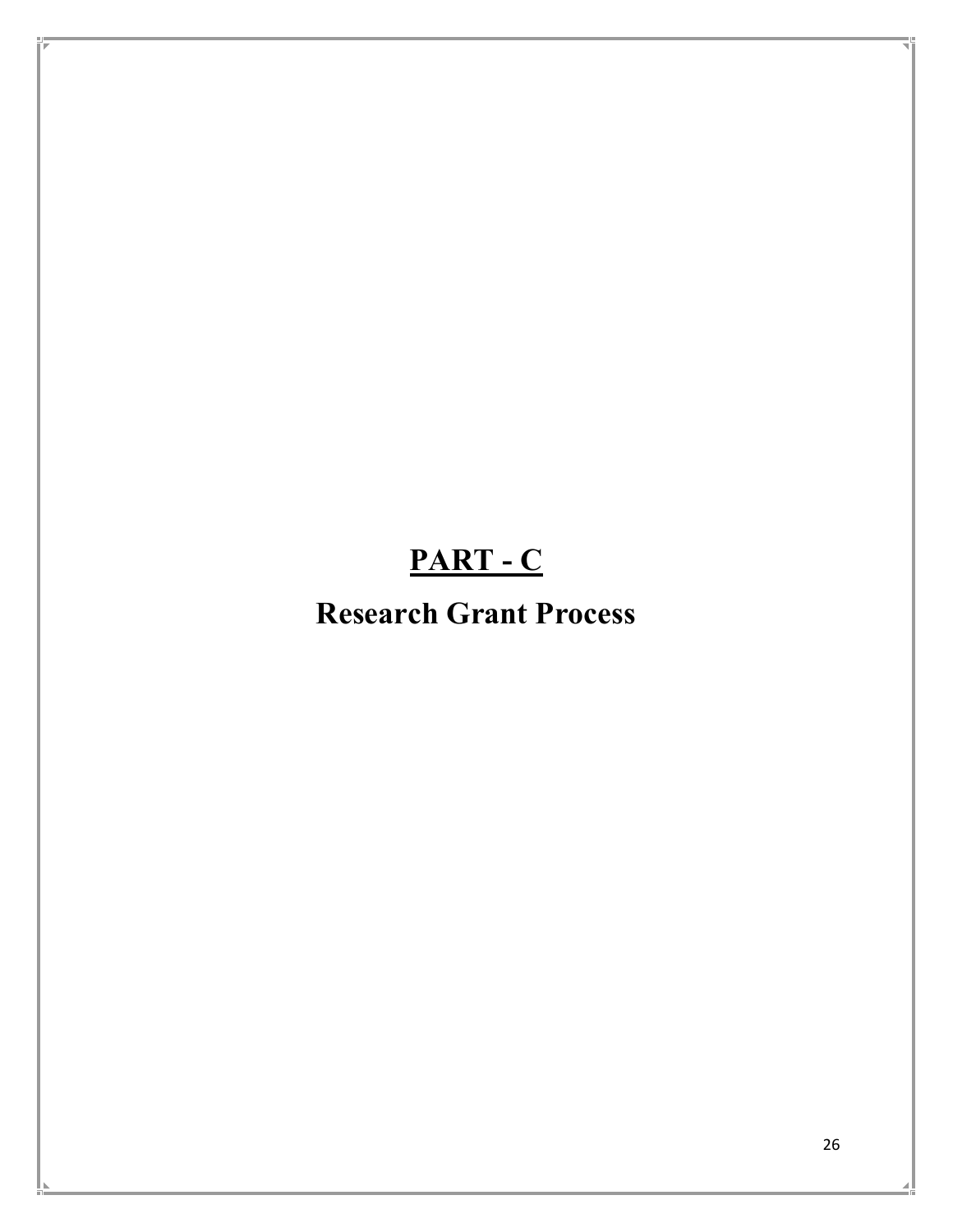# **PART - C**

# **Research Grant Process**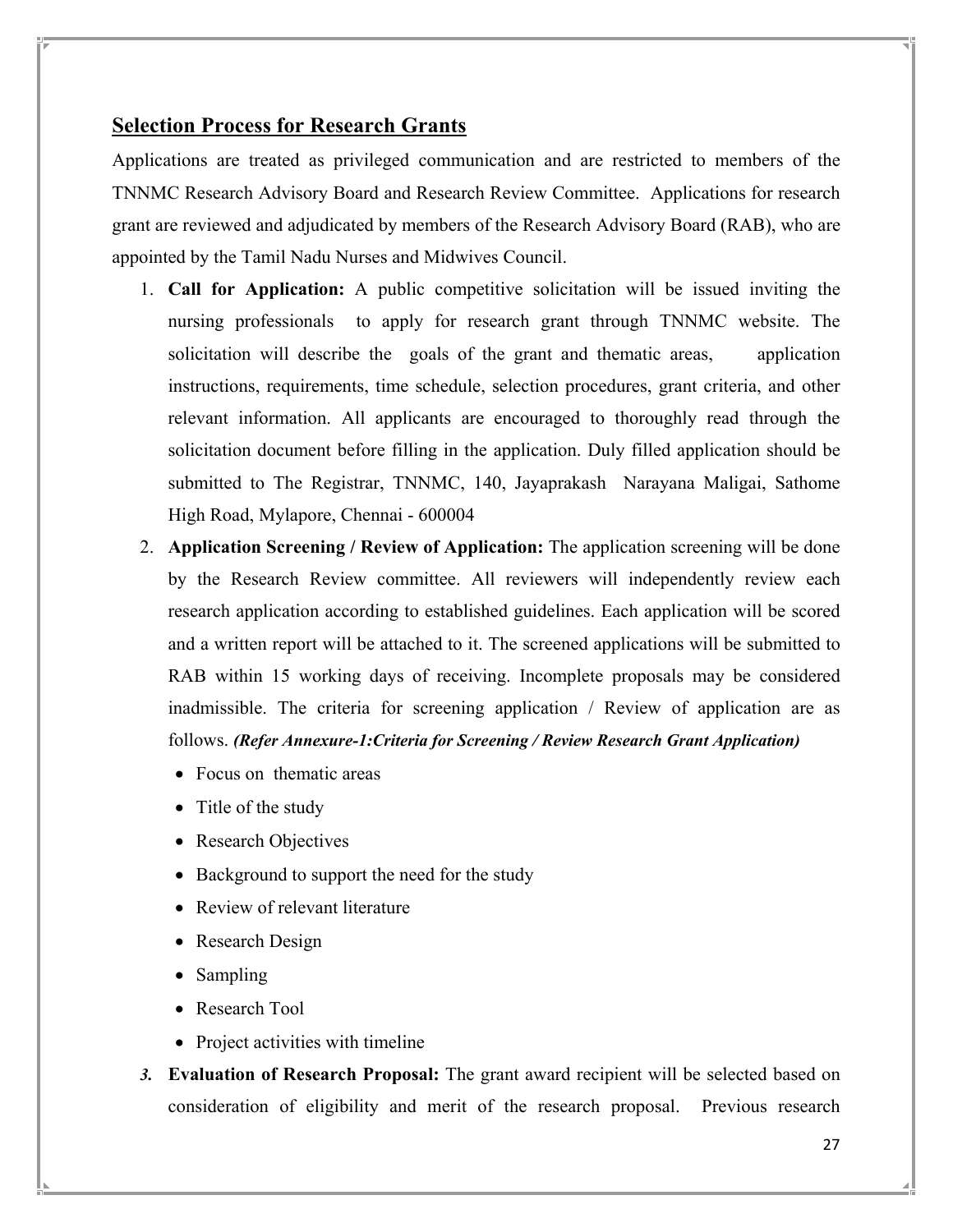## **Selection Process for Research Grants**

Applications are treated as privileged communication and are restricted to members of the TNNMC Research Advisory Board and Research Review Committee. Applications for research grant are reviewed and adjudicated by members of the Research Advisory Board (RAB), who are appointed by the Tamil Nadu Nurses and Midwives Council.

- 1. **Call for Application:** A public competitive solicitation will be issued inviting the nursing professionals to apply for research grant through TNNMC website. The solicitation will describe the goals of the grant and thematic areas, application instructions, requirements, time schedule, selection procedures, grant criteria, and other relevant information. All applicants are encouraged to thoroughly read through the solicitation document before filling in the application. Duly filled application should be submitted to The Registrar, TNNMC, 140, Jayaprakash Narayana Maligai, Sathome High Road, Mylapore, Chennai - 600004
- 2. **Application Screening / Review of Application:** The application screening will be done by the Research Review committee. All reviewers will independently review each research application according to established guidelines. Each application will be scored and a written report will be attached to it. The screened applications will be submitted to RAB within 15 working days of receiving. Incomplete proposals may be considered inadmissible. The criteria for screening application / Review of application are as follows. *(Refer Annexure-1:Criteria for Screening / Review Research Grant Application)*
	- Focus on thematic areas
	- Title of the study
	- Research Objectives
	- Background to support the need for the study
	- Review of relevant literature
	- Research Design
	- Sampling
	- Research Tool
	- Project activities with timeline
- *3.* **Evaluation of Research Proposal:** The grant award recipient will be selected based on consideration of eligibility and merit of the research proposal. Previous research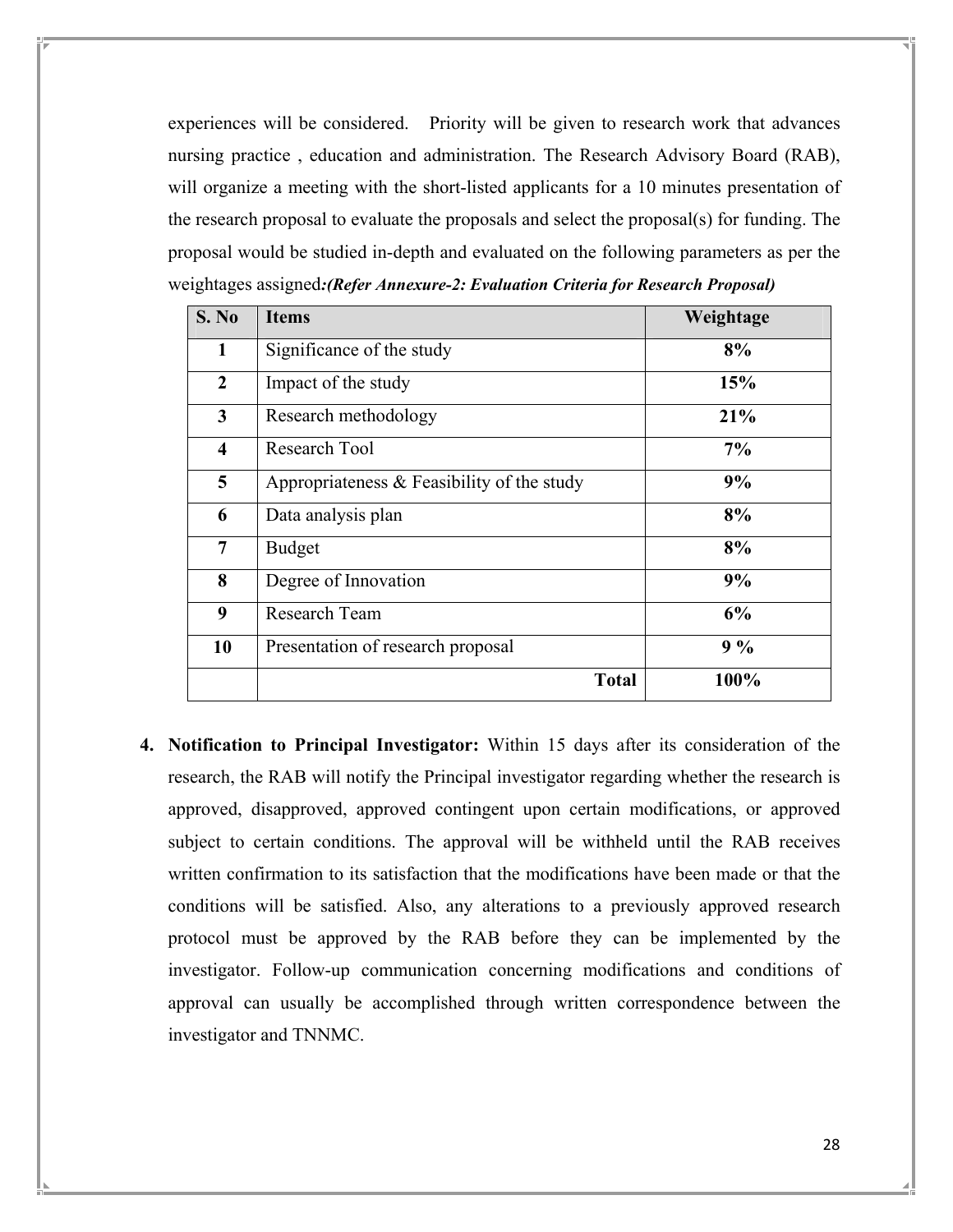experiences will be considered. Priority will be given to research work that advances nursing practice , education and administration. The Research Advisory Board (RAB), will organize a meeting with the short-listed applicants for a 10 minutes presentation of the research proposal to evaluate the proposals and select the proposal(s) for funding. The proposal would be studied in-depth and evaluated on the following parameters as per the weightages assigned*:(Refer Annexure-2: Evaluation Criteria for Research Proposal)* 

| S. No               | <b>Items</b>                               | Weightage |
|---------------------|--------------------------------------------|-----------|
| 1                   | Significance of the study                  | 8%        |
| $\overline{2}$      | Impact of the study                        | 15%       |
| 3                   | Research methodology                       | 21%       |
| $\overline{\bf{4}}$ | Research Tool                              | 7%        |
| 5                   | Appropriateness & Feasibility of the study | 9%        |
| 6                   | Data analysis plan                         | 8%        |
| 7                   | <b>Budget</b>                              | 8%        |
| 8                   | Degree of Innovation                       | 9%        |
| 9                   | Research Team                              | 6%        |
| 10                  | Presentation of research proposal          | $9\%$     |
|                     | <b>Total</b>                               | 100%      |

**4. Notification to Principal Investigator:** Within 15 days after its consideration of the research, the RAB will notify the Principal investigator regarding whether the research is approved, disapproved, approved contingent upon certain modifications, or approved subject to certain conditions. The approval will be withheld until the RAB receives written confirmation to its satisfaction that the modifications have been made or that the conditions will be satisfied. Also, any alterations to a previously approved research protocol must be approved by the RAB before they can be implemented by the investigator. Follow-up communication concerning modifications and conditions of approval can usually be accomplished through written correspondence between the investigator and TNNMC.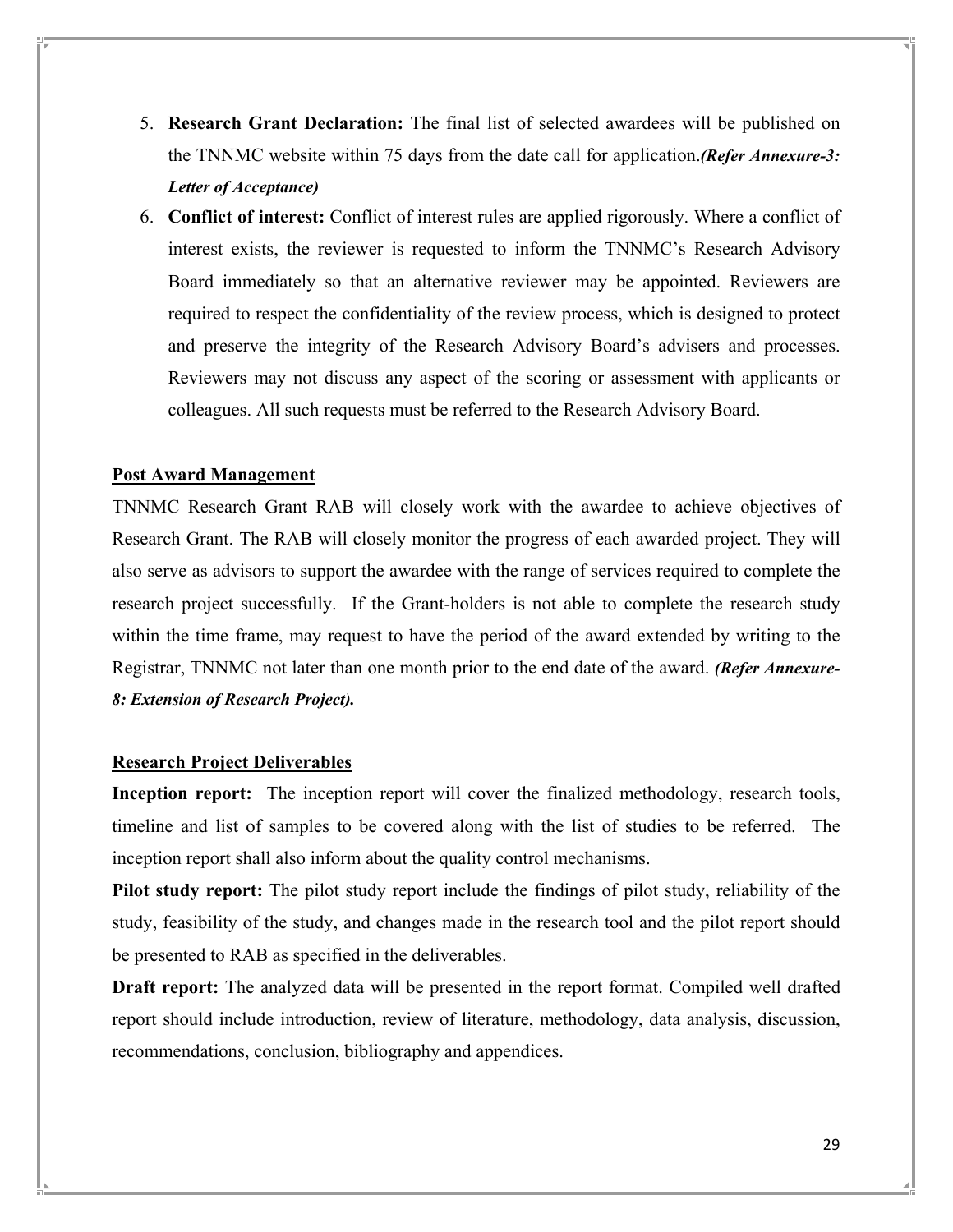- 5. **Research Grant Declaration:** The final list of selected awardees will be published on the TNNMC website within 75 days from the date call for application.*(Refer Annexure-3: Letter of Acceptance)*
- 6. **Conflict of interest:** Conflict of interest rules are applied rigorously. Where a conflict of interest exists, the reviewer is requested to inform the TNNMC's Research Advisory Board immediately so that an alternative reviewer may be appointed. Reviewers are required to respect the confidentiality of the review process, which is designed to protect and preserve the integrity of the Research Advisory Board's advisers and processes. Reviewers may not discuss any aspect of the scoring or assessment with applicants or colleagues. All such requests must be referred to the Research Advisory Board.

#### **Post Award Management**

TNNMC Research Grant RAB will closely work with the awardee to achieve objectives of Research Grant. The RAB will closely monitor the progress of each awarded project. They will also serve as advisors to support the awardee with the range of services required to complete the research project successfully. If the Grant-holders is not able to complete the research study within the time frame, may request to have the period of the award extended by writing to the Registrar, TNNMC not later than one month prior to the end date of the award. *(Refer Annexure-8: Extension of Research Project).* 

#### **Research Project Deliverables**

**Inception report:** The inception report will cover the finalized methodology, research tools, timeline and list of samples to be covered along with the list of studies to be referred. The inception report shall also inform about the quality control mechanisms.

**Pilot study report:** The pilot study report include the findings of pilot study, reliability of the study, feasibility of the study, and changes made in the research tool and the pilot report should be presented to RAB as specified in the deliverables.

**Draft report:** The analyzed data will be presented in the report format. Compiled well drafted report should include introduction, review of literature, methodology, data analysis, discussion, recommendations, conclusion, bibliography and appendices.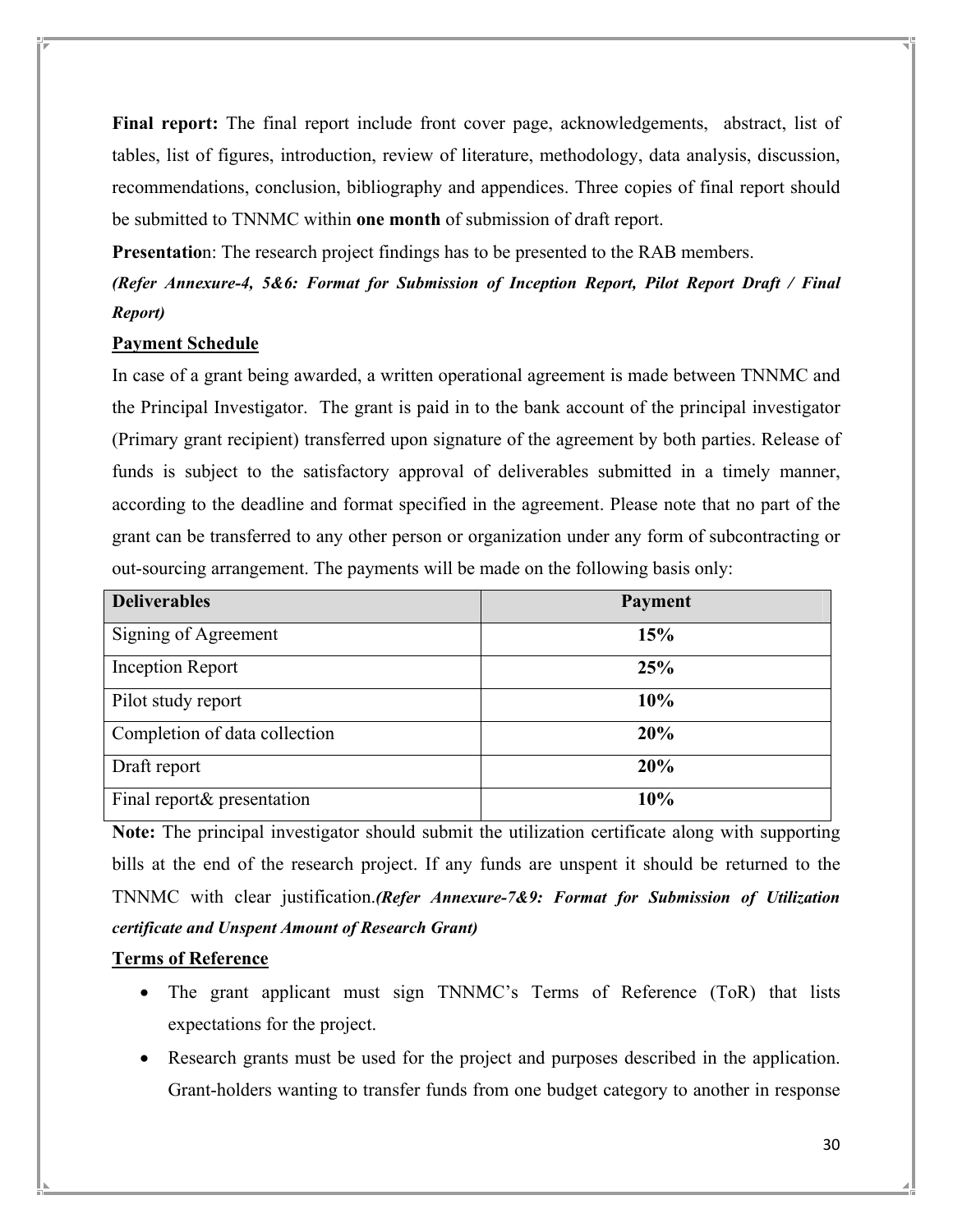**Final report:** The final report include front cover page, acknowledgements, abstract, list of tables, list of figures, introduction, review of literature, methodology, data analysis, discussion, recommendations, conclusion, bibliography and appendices. Three copies of final report should be submitted to TNNMC within **one month** of submission of draft report.

**Presentatio**n: The research project findings has to be presented to the RAB members.

*(Refer Annexure-4, 5&6: Format for Submission of Inception Report, Pilot Report Draft / Final Report)* 

## **Payment Schedule**

In case of a grant being awarded, a written operational agreement is made between TNNMC and the Principal Investigator. The grant is paid in to the bank account of the principal investigator (Primary grant recipient) transferred upon signature of the agreement by both parties. Release of funds is subject to the satisfactory approval of deliverables submitted in a timely manner, according to the deadline and format specified in the agreement. Please note that no part of the grant can be transferred to any other person or organization under any form of subcontracting or out-sourcing arrangement. The payments will be made on the following basis only:

| <b>Deliverables</b>           | <b>Payment</b> |
|-------------------------------|----------------|
| Signing of Agreement          | 15%            |
| Inception Report              | 25%            |
| Pilot study report            | 10%            |
| Completion of data collection | 20%            |
| Draft report                  | 20%            |
| Final report& presentation    | 10%            |

**Note:** The principal investigator should submit the utilization certificate along with supporting bills at the end of the research project. If any funds are unspent it should be returned to the TNNMC with clear justification.*(Refer Annexure-7&9: Format for Submission of Utilization certificate and Unspent Amount of Research Grant)*

## **Terms of Reference**

- The grant applicant must sign TNNMC's Terms of Reference (ToR) that lists expectations for the project.
- Research grants must be used for the project and purposes described in the application. Grant-holders wanting to transfer funds from one budget category to another in response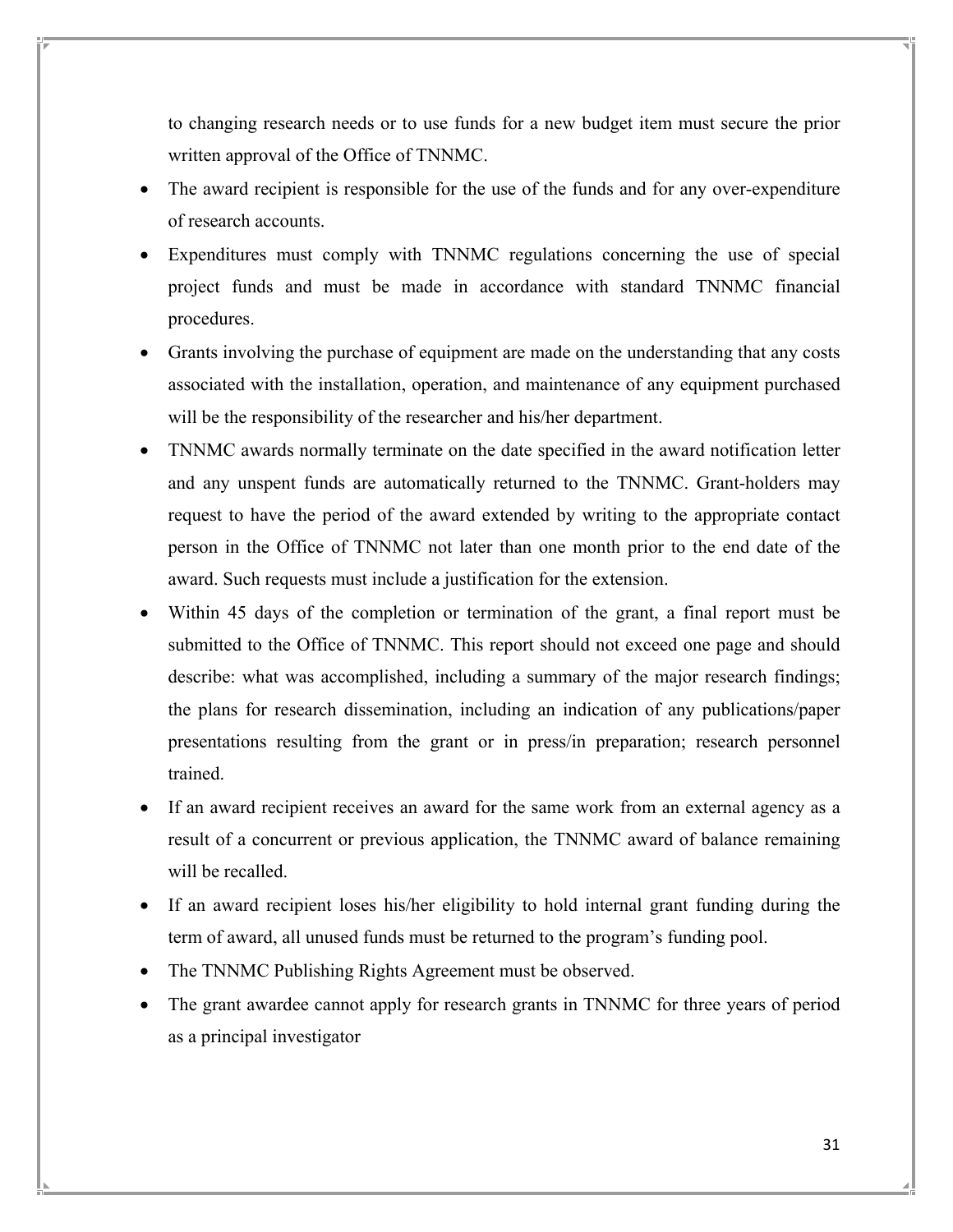to changing research needs or to use funds for a new budget item must secure the prior written approval of the Office of TNNMC.

- The award recipient is responsible for the use of the funds and for any over-expenditure of research accounts.
- Expenditures must comply with TNNMC regulations concerning the use of special project funds and must be made in accordance with standard TNNMC financial procedures.
- Grants involving the purchase of equipment are made on the understanding that any costs associated with the installation, operation, and maintenance of any equipment purchased will be the responsibility of the researcher and his/her department.
- TNNMC awards normally terminate on the date specified in the award notification letter and any unspent funds are automatically returned to the TNNMC. Grant-holders may request to have the period of the award extended by writing to the appropriate contact person in the Office of TNNMC not later than one month prior to the end date of the award. Such requests must include a justification for the extension.
- Within 45 days of the completion or termination of the grant, a final report must be submitted to the Office of TNNMC. This report should not exceed one page and should describe: what was accomplished, including a summary of the major research findings; the plans for research dissemination, including an indication of any publications/paper presentations resulting from the grant or in press/in preparation; research personnel trained.
- If an award recipient receives an award for the same work from an external agency as a result of a concurrent or previous application, the TNNMC award of balance remaining will be recalled.
- If an award recipient loses his/her eligibility to hold internal grant funding during the term of award, all unused funds must be returned to the program's funding pool.
- The TNNMC Publishing Rights Agreement must be observed.
- The grant awardee cannot apply for research grants in TNNMC for three years of period as a principal investigator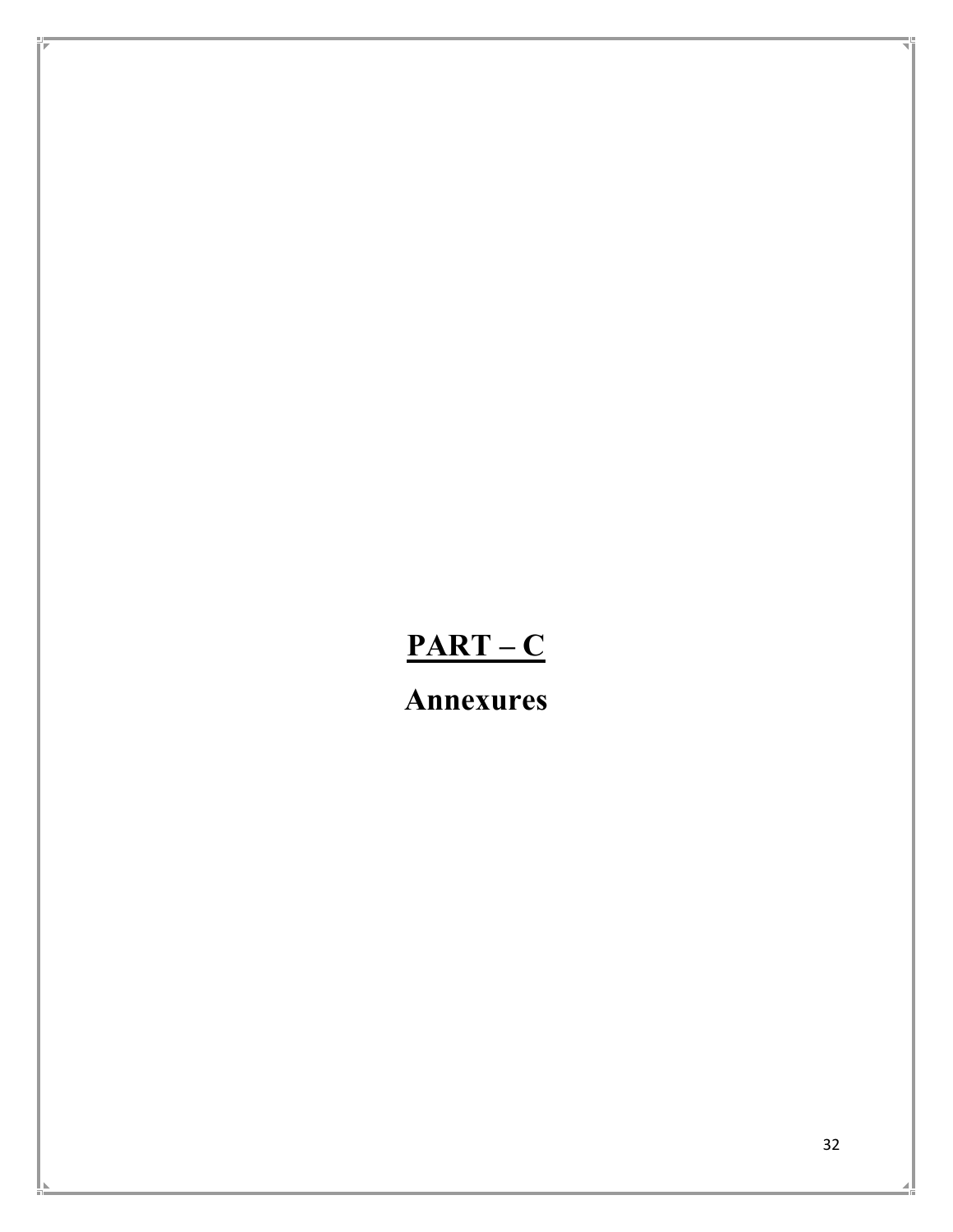# **PART – C**

**Annexures**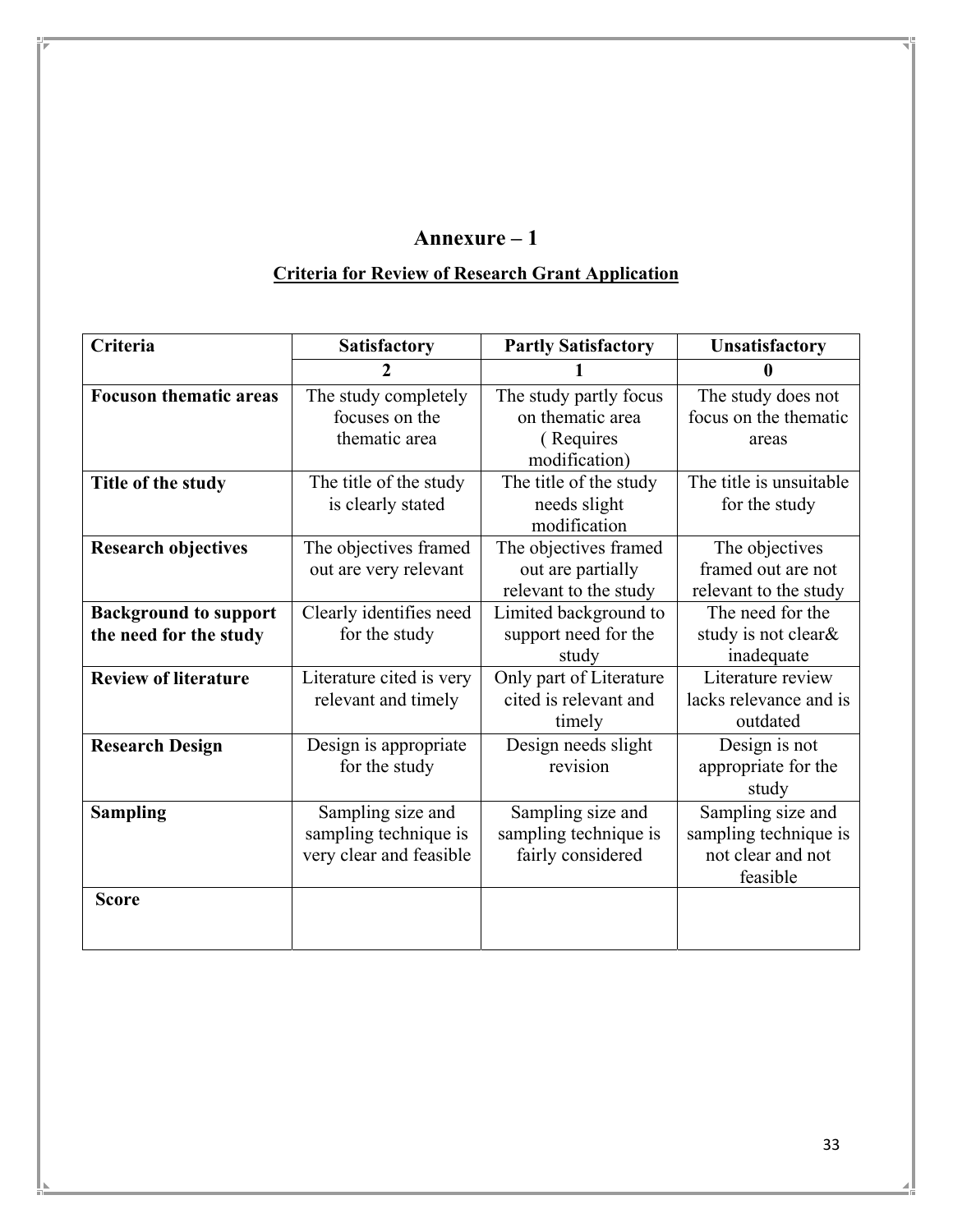# **Criteria for Review of Research Grant Application**

| Criteria                      | <b>Satisfactory</b>      | <b>Partly Satisfactory</b> | <b>Unsatisfactory</b>   |  |
|-------------------------------|--------------------------|----------------------------|-------------------------|--|
|                               | 2                        |                            | 0                       |  |
| <b>Focuson thematic areas</b> | The study completely     | The study partly focus     | The study does not      |  |
|                               | focuses on the           | on thematic area           | focus on the thematic   |  |
|                               | thematic area            | (Requires                  | areas                   |  |
|                               |                          | modification)              |                         |  |
| Title of the study            | The title of the study   | The title of the study     | The title is unsuitable |  |
|                               | is clearly stated        | needs slight               | for the study           |  |
|                               |                          | modification               |                         |  |
| <b>Research objectives</b>    | The objectives framed    | The objectives framed      | The objectives          |  |
|                               | out are very relevant    | out are partially          | framed out are not      |  |
|                               |                          | relevant to the study      | relevant to the study   |  |
| <b>Background to support</b>  | Clearly identifies need  | Limited background to      | The need for the        |  |
| the need for the study        | for the study            | support need for the       | study is not clear&     |  |
|                               |                          | study                      | inadequate              |  |
| <b>Review of literature</b>   | Literature cited is very | Only part of Literature    | Literature review       |  |
|                               | relevant and timely      | cited is relevant and      | lacks relevance and is  |  |
|                               |                          | timely                     | outdated                |  |
| <b>Research Design</b>        | Design is appropriate    | Design needs slight        | Design is not           |  |
|                               | for the study            | revision                   | appropriate for the     |  |
|                               |                          |                            | study                   |  |
| <b>Sampling</b>               | Sampling size and        | Sampling size and          | Sampling size and       |  |
|                               | sampling technique is    | sampling technique is      | sampling technique is   |  |
|                               | very clear and feasible  | fairly considered          | not clear and not       |  |
|                               |                          |                            | feasible                |  |
| <b>Score</b>                  |                          |                            |                         |  |
|                               |                          |                            |                         |  |
|                               |                          |                            |                         |  |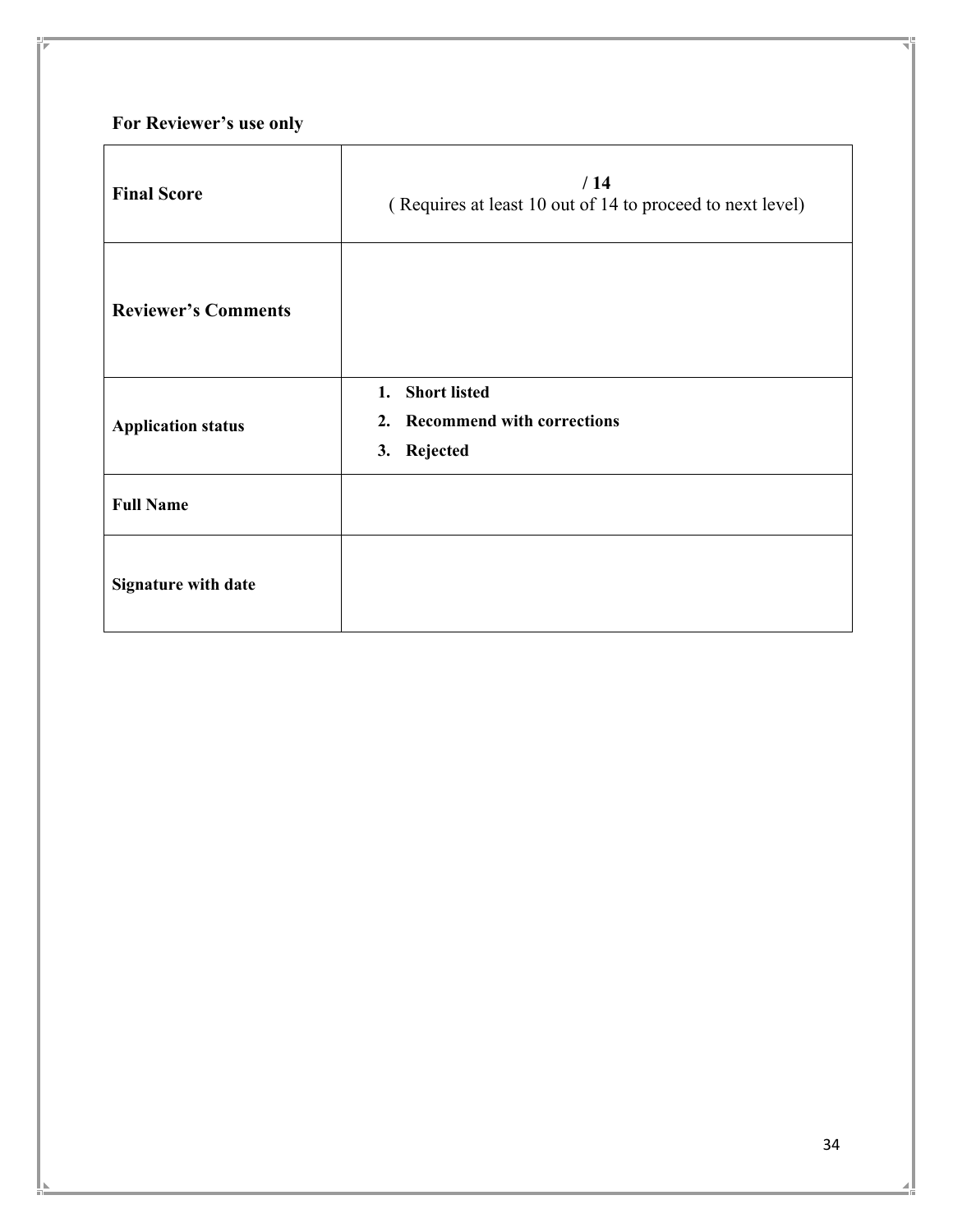# **For Reviewer's use only**

| <b>Final Score</b>         | /14<br>(Requires at least 10 out of 14 to proceed to next level) |
|----------------------------|------------------------------------------------------------------|
| <b>Reviewer's Comments</b> |                                                                  |
| <b>Application status</b>  | 1. Short listed<br>2. Recommend with corrections<br>3. Rejected  |
| <b>Full Name</b>           |                                                                  |
| <b>Signature with date</b> |                                                                  |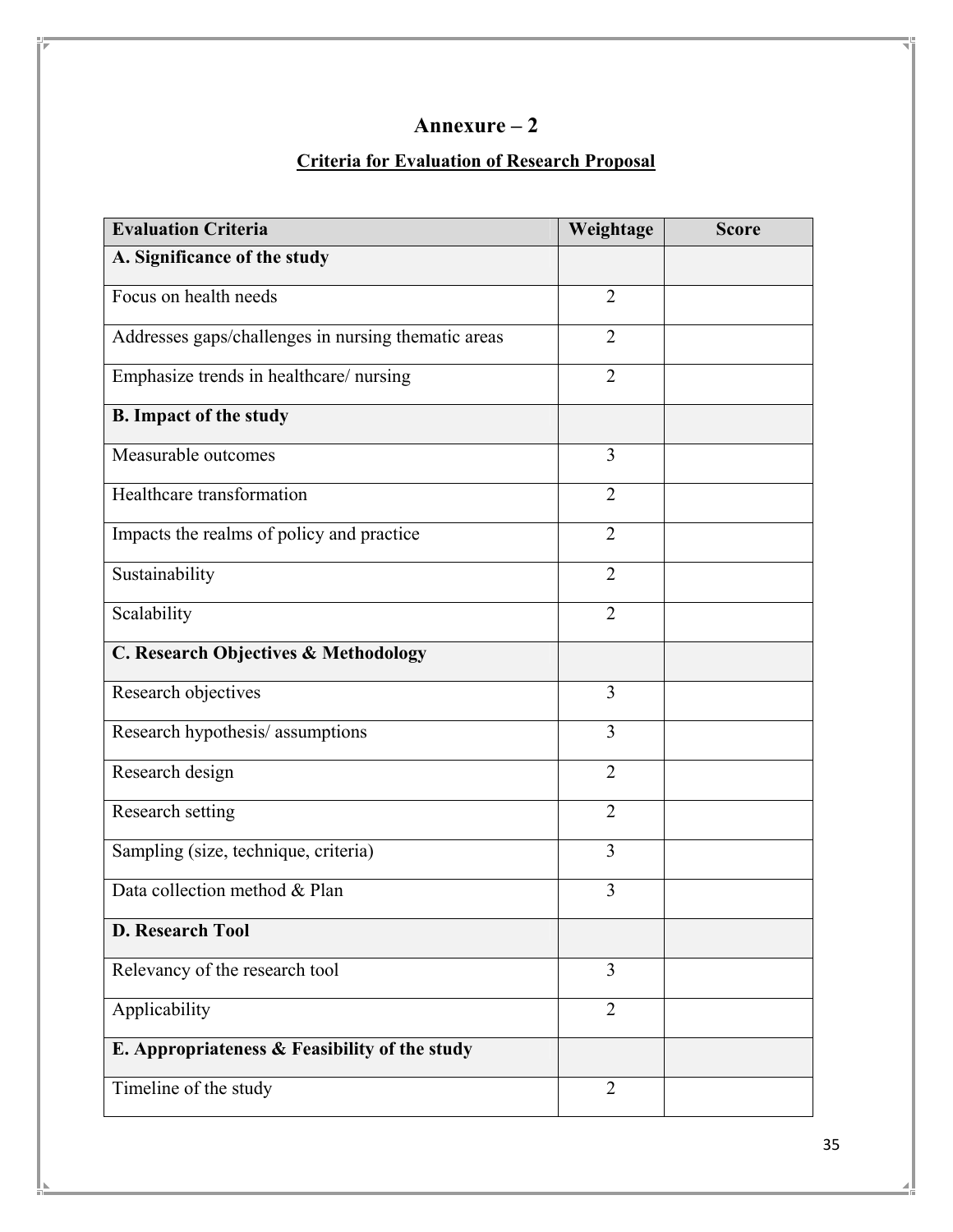## **Criteria for Evaluation of Research Proposal**

| <b>Evaluation Criteria</b>                          | Weightage      | <b>Score</b> |
|-----------------------------------------------------|----------------|--------------|
| A. Significance of the study                        |                |              |
| Focus on health needs                               | $\overline{2}$ |              |
| Addresses gaps/challenges in nursing thematic areas | $\overline{2}$ |              |
| Emphasize trends in healthcare/nursing              | $\overline{2}$ |              |
| <b>B.</b> Impact of the study                       |                |              |
| Measurable outcomes                                 | 3              |              |
| Healthcare transformation                           | $\overline{2}$ |              |
| Impacts the realms of policy and practice           | $\overline{2}$ |              |
| Sustainability                                      | $\overline{2}$ |              |
| Scalability                                         | $\overline{2}$ |              |
| C. Research Objectives & Methodology                |                |              |
| Research objectives                                 | $\overline{3}$ |              |
| Research hypothesis/assumptions                     | $\overline{3}$ |              |
| Research design                                     | $\overline{2}$ |              |
| Research setting                                    | $\overline{2}$ |              |
| Sampling (size, technique, criteria)                | 3              |              |
| Data collection method & Plan                       | 3              |              |
| <b>D. Research Tool</b>                             |                |              |
| Relevancy of the research tool                      | 3              |              |
| Applicability                                       | $\overline{2}$ |              |
| E. Appropriateness & Feasibility of the study       |                |              |
| Timeline of the study                               | $\overline{2}$ |              |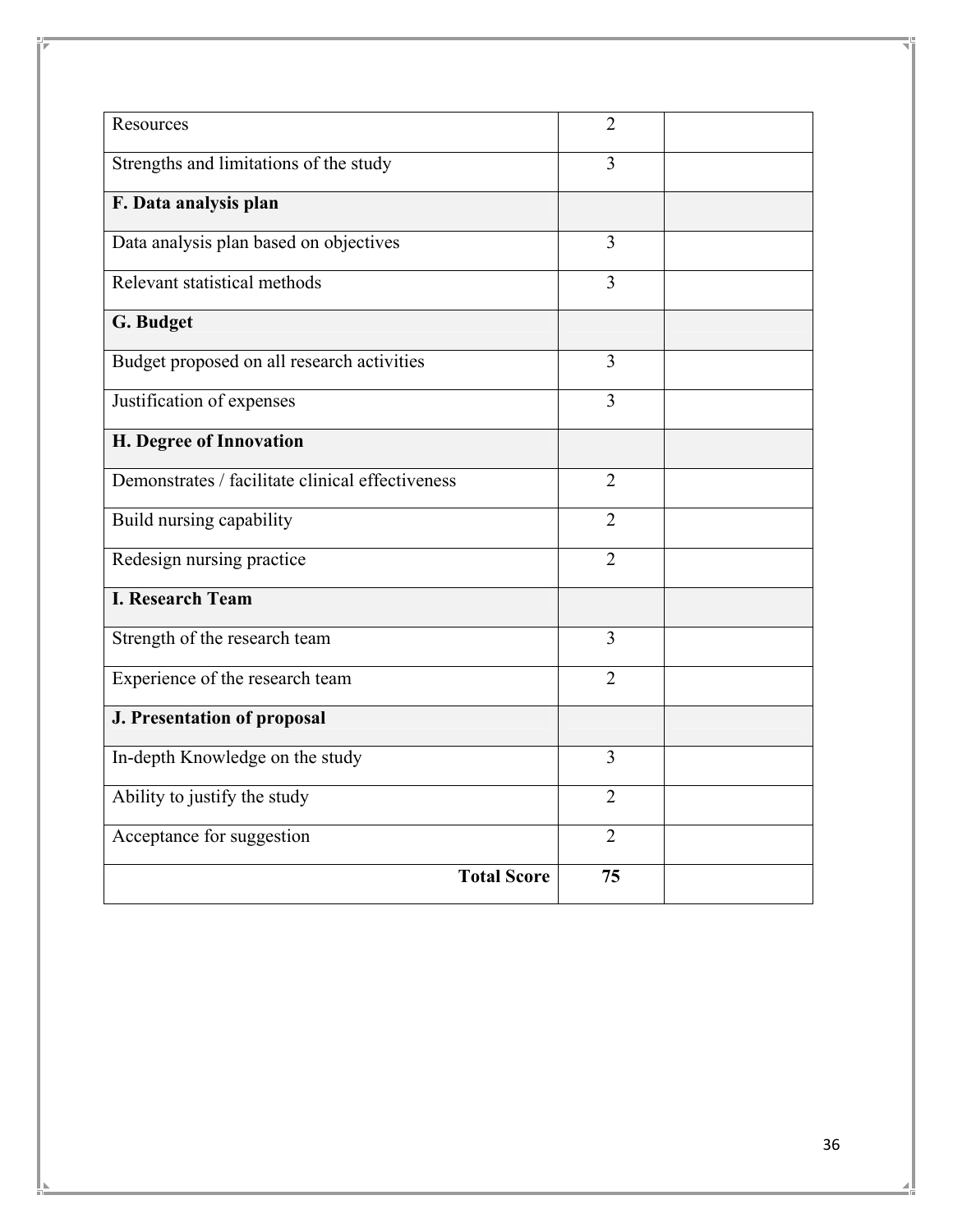| Resources                                        | $\overline{2}$ |  |
|--------------------------------------------------|----------------|--|
|                                                  |                |  |
| Strengths and limitations of the study           | 3              |  |
| F. Data analysis plan                            |                |  |
| Data analysis plan based on objectives           | 3              |  |
| Relevant statistical methods                     | 3              |  |
| G. Budget                                        |                |  |
| Budget proposed on all research activities       | 3              |  |
| Justification of expenses                        | 3              |  |
| H. Degree of Innovation                          |                |  |
| Demonstrates / facilitate clinical effectiveness | $\overline{2}$ |  |
| Build nursing capability                         | $\overline{2}$ |  |
| Redesign nursing practice                        | $\overline{2}$ |  |
| <b>I. Research Team</b>                          |                |  |
| Strength of the research team                    | 3              |  |
| Experience of the research team                  | $\overline{2}$ |  |
| <b>J. Presentation of proposal</b>               |                |  |
| In-depth Knowledge on the study                  | 3              |  |
| Ability to justify the study                     | $\overline{2}$ |  |
| Acceptance for suggestion                        | $\overline{2}$ |  |
| <b>Total Score</b>                               | 75             |  |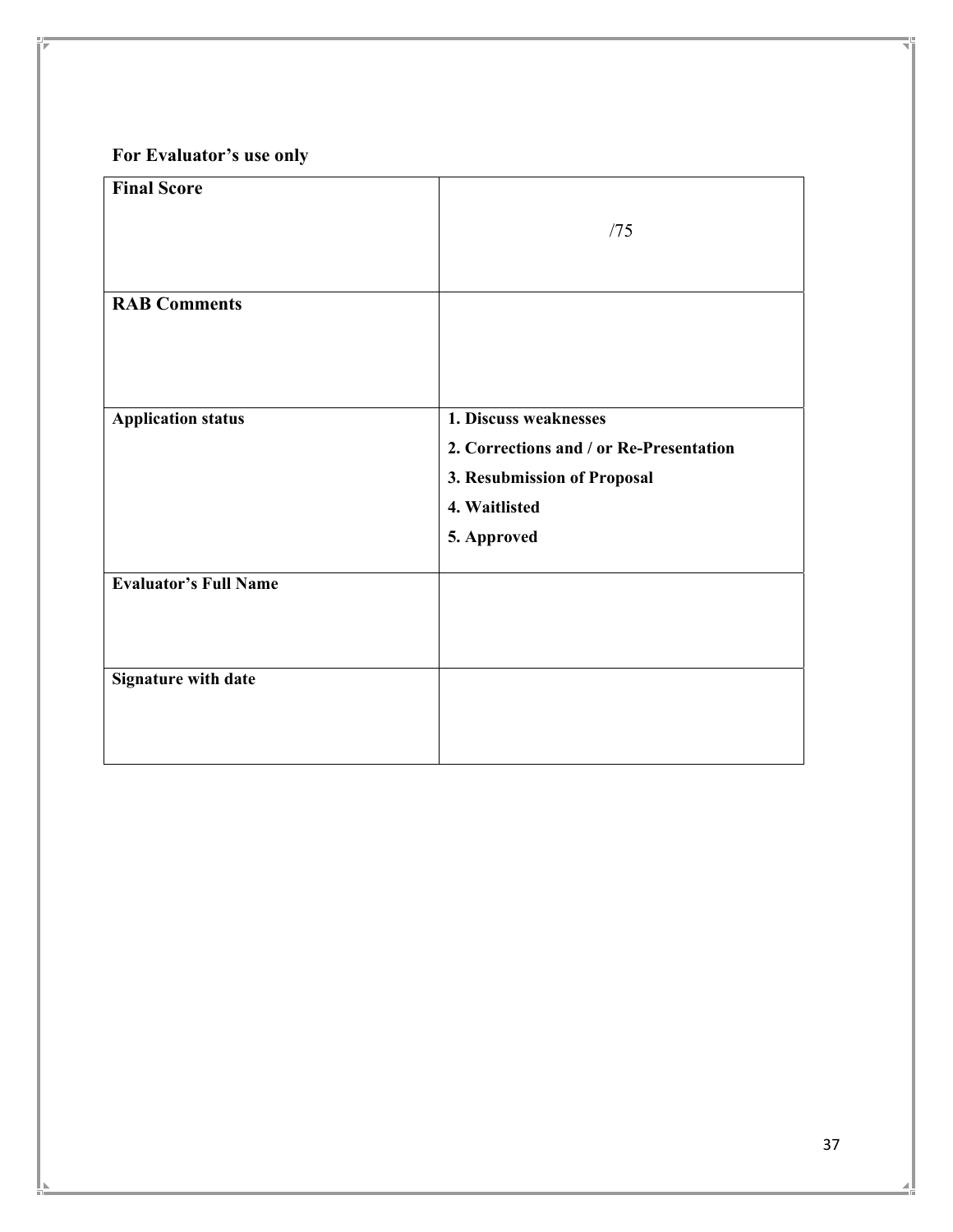# **For Evaluator's use only**

| <b>Final Score</b>           |                                         |
|------------------------------|-----------------------------------------|
|                              | /75                                     |
|                              |                                         |
|                              |                                         |
| <b>RAB Comments</b>          |                                         |
|                              |                                         |
|                              |                                         |
|                              |                                         |
| <b>Application status</b>    | 1. Discuss weaknesses                   |
|                              | 2. Corrections and / or Re-Presentation |
|                              | 3. Resubmission of Proposal             |
|                              | 4. Waitlisted                           |
|                              | 5. Approved                             |
|                              |                                         |
| <b>Evaluator's Full Name</b> |                                         |
|                              |                                         |
|                              |                                         |
| <b>Signature with date</b>   |                                         |
|                              |                                         |
|                              |                                         |
|                              |                                         |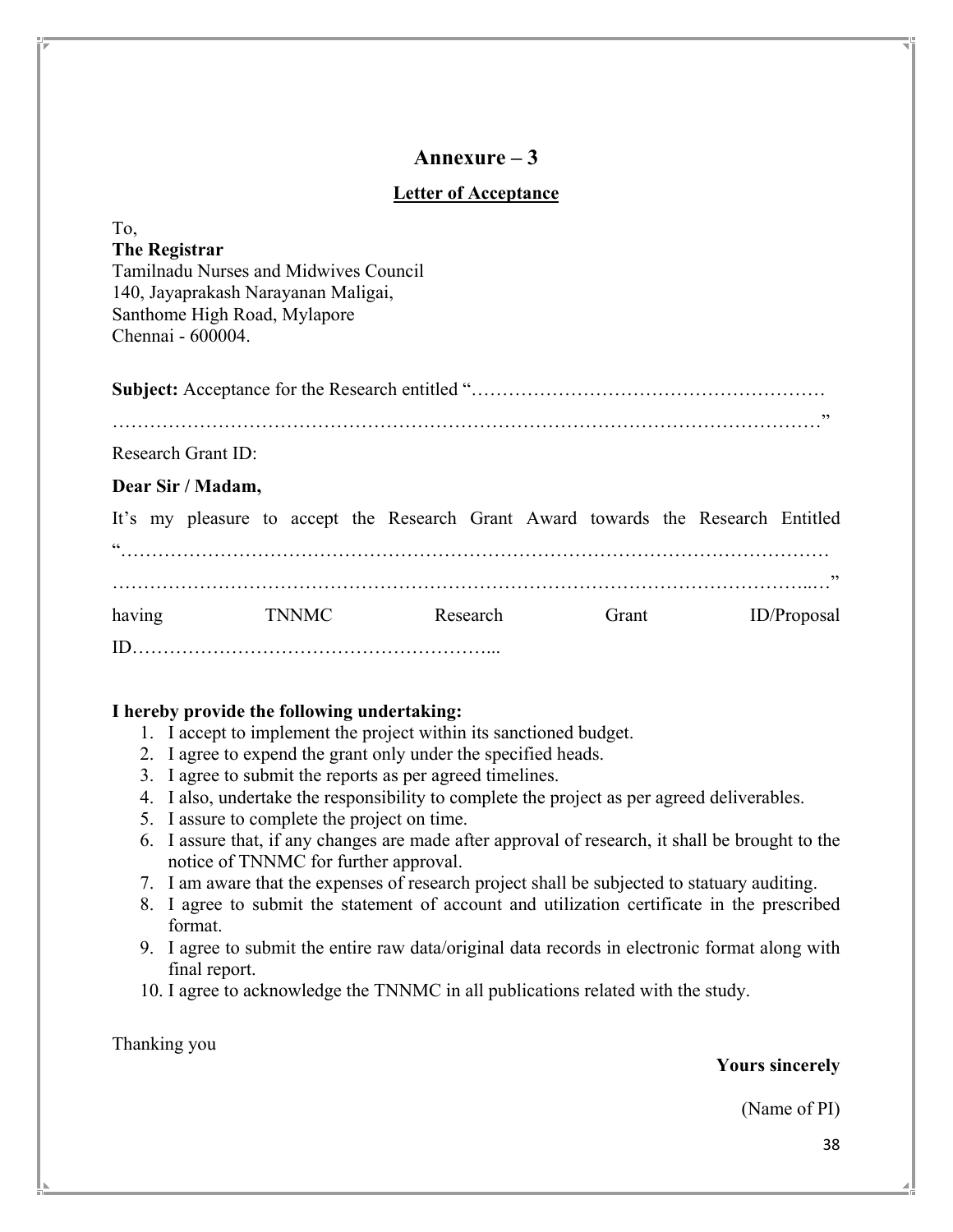## **Letter of Acceptance**

| To,<br><b>The Registrar</b><br>Tamilnadu Nurses and Midwives Council<br>140, Jayaprakash Narayanan Maligai,<br>Santhome High Road, Mylapore<br>Chennai - 600004. |                           |  |              |  |                                                                                   |          |       |  |             |
|------------------------------------------------------------------------------------------------------------------------------------------------------------------|---------------------------|--|--------------|--|-----------------------------------------------------------------------------------|----------|-------|--|-------------|
|                                                                                                                                                                  |                           |  |              |  |                                                                                   |          |       |  |             |
|                                                                                                                                                                  | <b>Research Grant ID:</b> |  |              |  |                                                                                   |          |       |  |             |
| Dear Sir / Madam,                                                                                                                                                |                           |  |              |  |                                                                                   |          |       |  |             |
|                                                                                                                                                                  |                           |  |              |  | It's my pleasure to accept the Research Grant Award towards the Research Entitled |          |       |  |             |
|                                                                                                                                                                  |                           |  |              |  |                                                                                   |          |       |  |             |
|                                                                                                                                                                  |                           |  |              |  |                                                                                   |          |       |  |             |
| having                                                                                                                                                           |                           |  | <b>TNNMC</b> |  |                                                                                   | Research | Grant |  | ID/Proposal |
|                                                                                                                                                                  |                           |  |              |  |                                                                                   |          |       |  |             |

## **I hereby provide the following undertaking:**

- 1. I accept to implement the project within its sanctioned budget.
- 2. I agree to expend the grant only under the specified heads.
- 3. I agree to submit the reports as per agreed timelines.
- 4. I also, undertake the responsibility to complete the project as per agreed deliverables.
- 5. I assure to complete the project on time.
- 6. I assure that, if any changes are made after approval of research, it shall be brought to the notice of TNNMC for further approval.
- 7. I am aware that the expenses of research project shall be subjected to statuary auditing.
- 8. I agree to submit the statement of account and utilization certificate in the prescribed format.
- 9. I agree to submit the entire raw data/original data records in electronic format along with final report.
- 10. I agree to acknowledge the TNNMC in all publications related with the study.

Thanking you

## **Yours sincerely**

(Name of PI)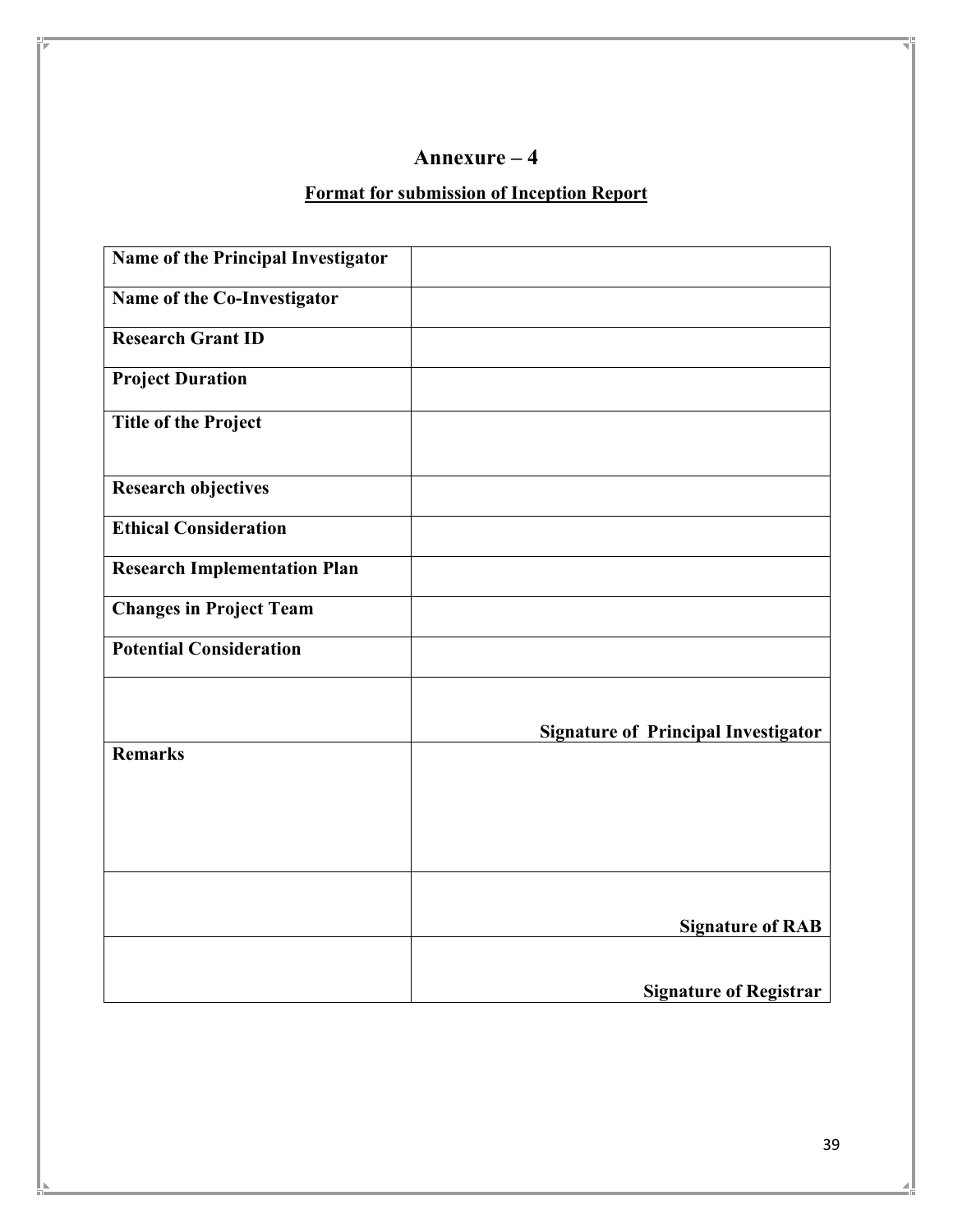# **Format for submission of Inception Report**

| Name of the Principal Investigator  |                                            |
|-------------------------------------|--------------------------------------------|
| Name of the Co-Investigator         |                                            |
| <b>Research Grant ID</b>            |                                            |
| <b>Project Duration</b>             |                                            |
| <b>Title of the Project</b>         |                                            |
| <b>Research objectives</b>          |                                            |
| <b>Ethical Consideration</b>        |                                            |
| <b>Research Implementation Plan</b> |                                            |
| <b>Changes in Project Team</b>      |                                            |
| <b>Potential Consideration</b>      |                                            |
|                                     |                                            |
|                                     | <b>Signature of Principal Investigator</b> |
| <b>Remarks</b>                      |                                            |
|                                     |                                            |
|                                     |                                            |
|                                     |                                            |
|                                     |                                            |
|                                     | <b>Signature of RAB</b>                    |
|                                     |                                            |
|                                     | <b>Signature of Registrar</b>              |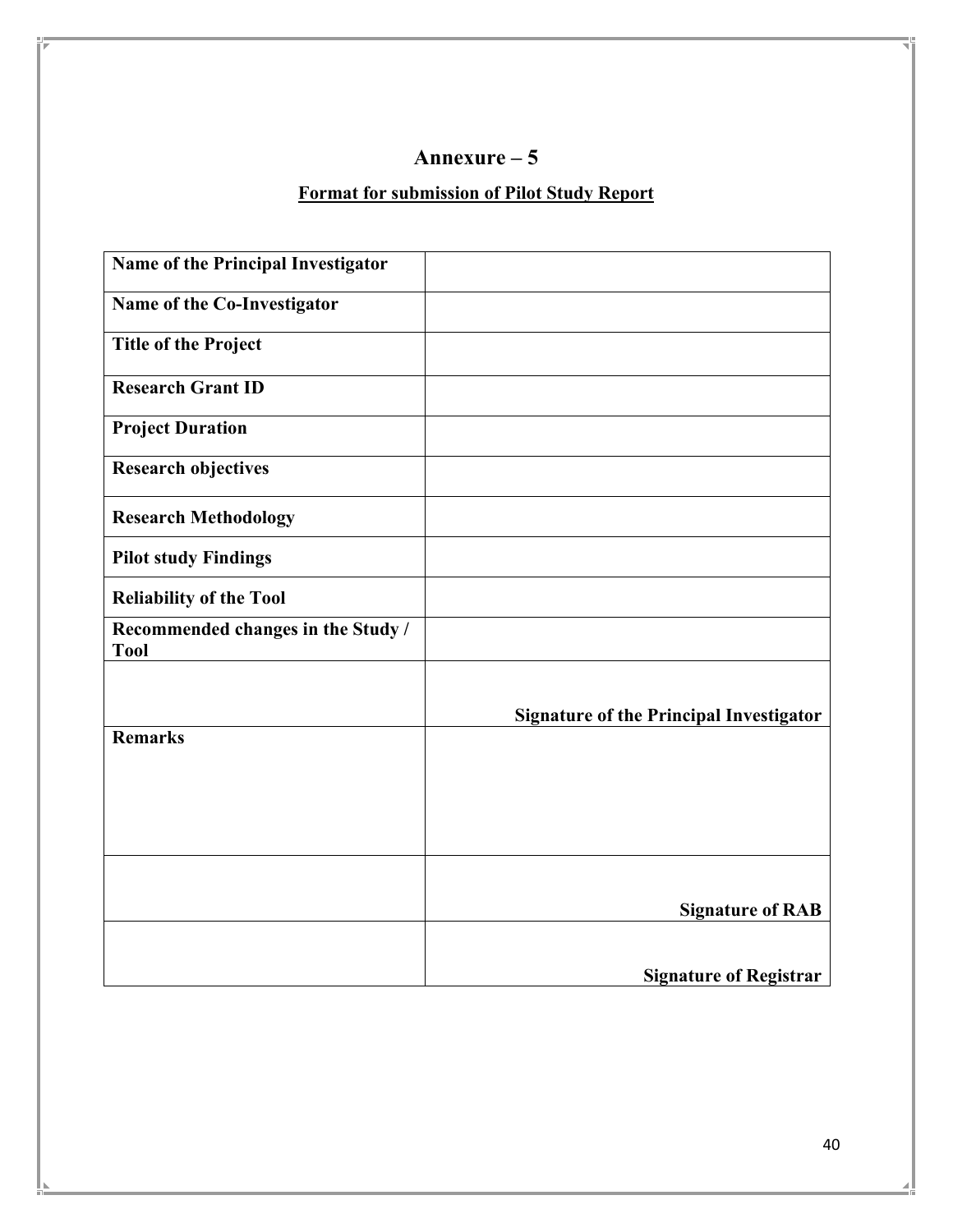# **Format for submission of Pilot Study Report**

| Name of the Principal Investigator                |                                                |
|---------------------------------------------------|------------------------------------------------|
| Name of the Co-Investigator                       |                                                |
| <b>Title of the Project</b>                       |                                                |
| <b>Research Grant ID</b>                          |                                                |
| <b>Project Duration</b>                           |                                                |
| <b>Research objectives</b>                        |                                                |
| <b>Research Methodology</b>                       |                                                |
| <b>Pilot study Findings</b>                       |                                                |
| <b>Reliability of the Tool</b>                    |                                                |
| Recommended changes in the Study /<br><b>Tool</b> |                                                |
|                                                   |                                                |
|                                                   | <b>Signature of the Principal Investigator</b> |
| <b>Remarks</b>                                    |                                                |
|                                                   |                                                |
|                                                   |                                                |
|                                                   |                                                |
|                                                   | <b>Signature of RAB</b>                        |
|                                                   |                                                |
|                                                   | <b>Signature of Registrar</b>                  |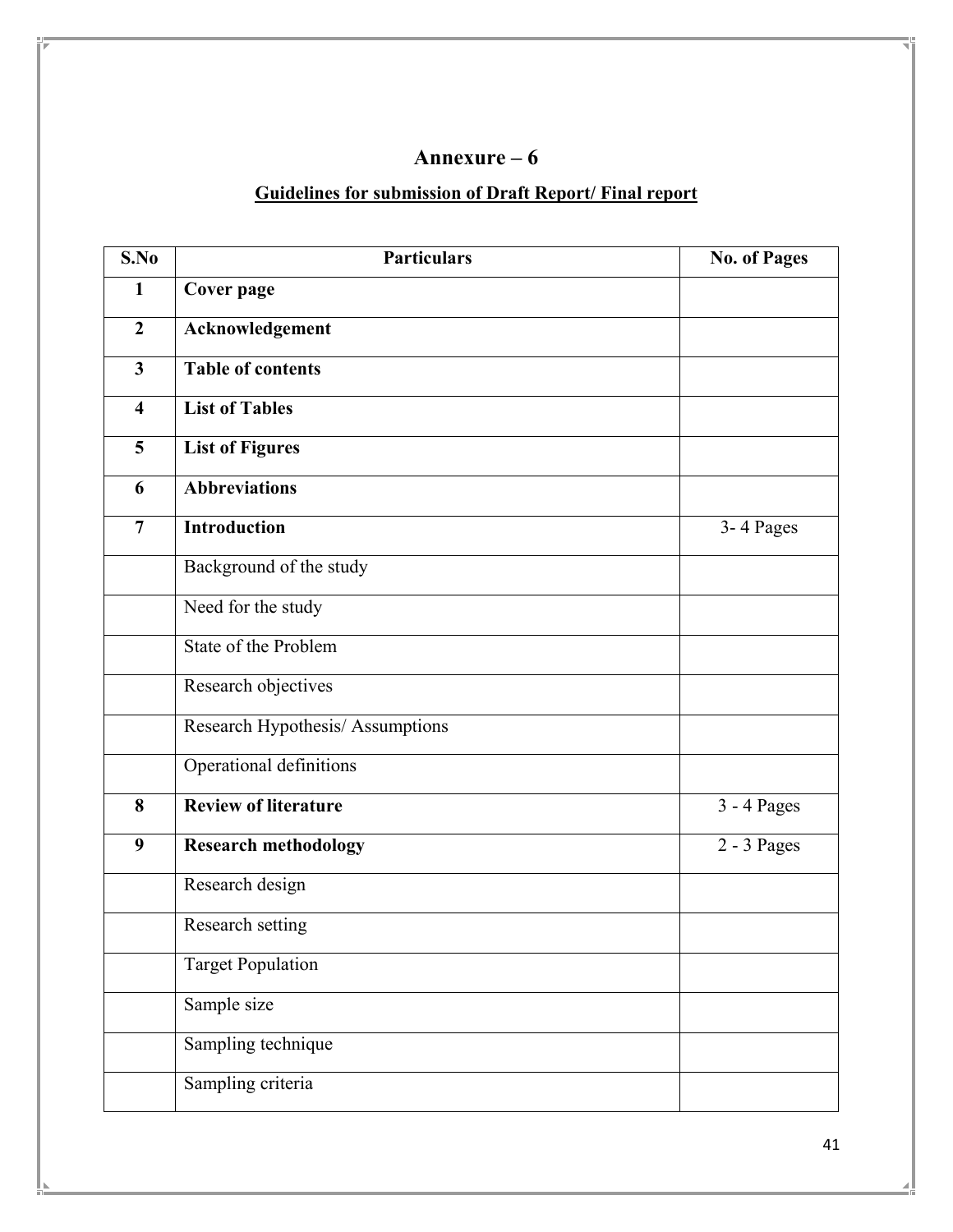# **Guidelines for submission of Draft Report/ Final report**

| S.No                    | <b>Particulars</b>               | <b>No. of Pages</b>    |
|-------------------------|----------------------------------|------------------------|
| $\mathbf{1}$            | <b>Cover page</b>                |                        |
| $\boldsymbol{2}$        | Acknowledgement                  |                        |
| $\overline{3}$          | Table of contents                |                        |
| $\overline{\mathbf{4}}$ | <b>List of Tables</b>            |                        |
| 5                       | <b>List of Figures</b>           |                        |
| 6                       | <b>Abbreviations</b>             |                        |
| $\overline{7}$          | <b>Introduction</b>              | 3-4 Pages              |
|                         | Background of the study          |                        |
|                         | Need for the study               |                        |
|                         | State of the Problem             |                        |
|                         | Research objectives              |                        |
|                         | Research Hypothesis/ Assumptions |                        |
|                         | Operational definitions          |                        |
| 8                       | <b>Review of literature</b>      | 3 - 4 Pages            |
| 9                       | <b>Research methodology</b>      | $\overline{2-3}$ Pages |
|                         | Research design                  |                        |
|                         | Research setting                 |                        |
|                         | <b>Target Population</b>         |                        |
|                         | Sample size                      |                        |
|                         | Sampling technique               |                        |
|                         | Sampling criteria                |                        |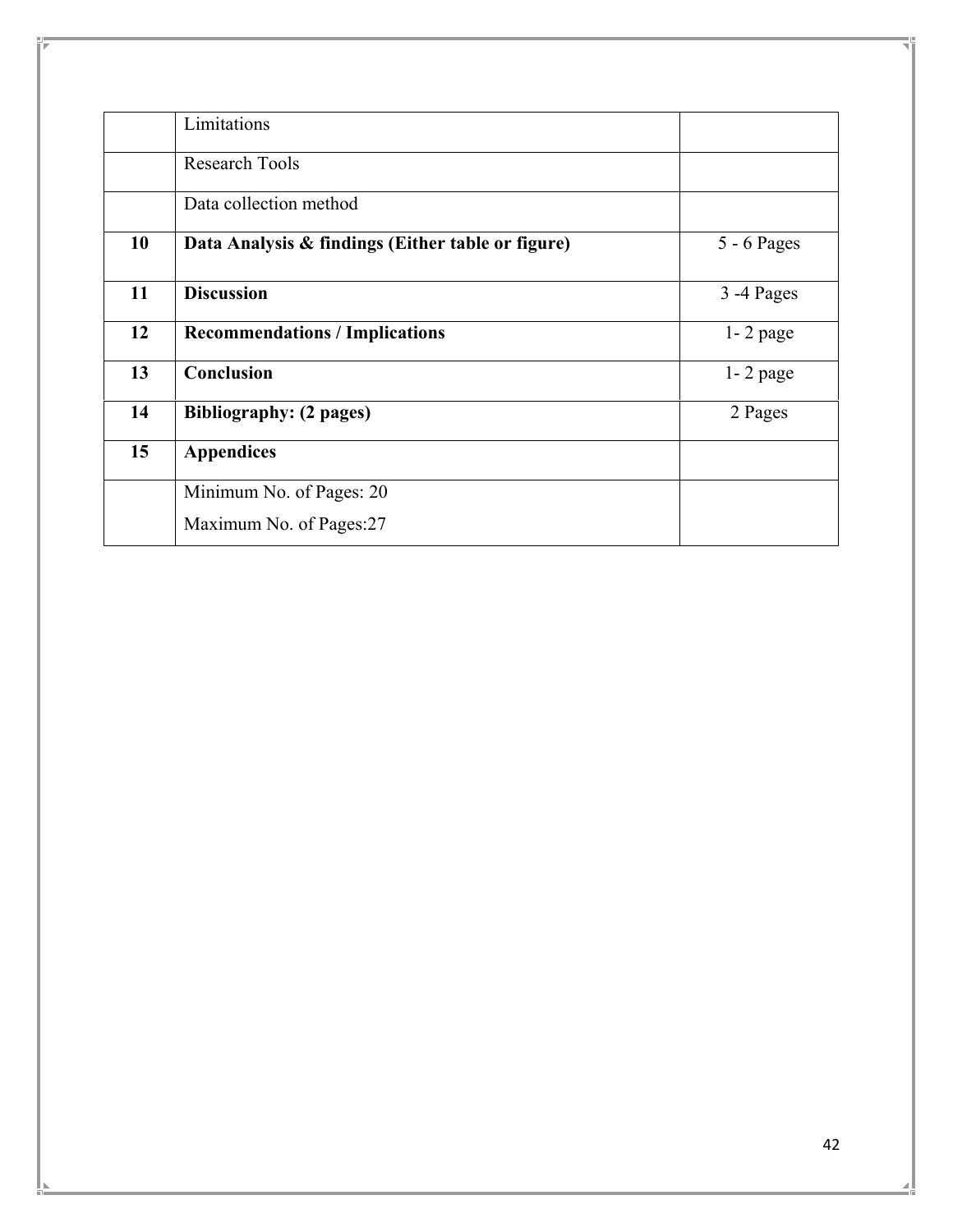|    | Limitations                                       |               |
|----|---------------------------------------------------|---------------|
|    | <b>Research Tools</b>                             |               |
|    | Data collection method                            |               |
| 10 | Data Analysis & findings (Either table or figure) | $5 - 6$ Pages |
| 11 | <b>Discussion</b>                                 | 3 -4 Pages    |
| 12 | <b>Recommendations / Implications</b>             | $1 - 2$ page  |
| 13 | <b>Conclusion</b>                                 | $1 - 2$ page  |
| 14 | <b>Bibliography: (2 pages)</b>                    | 2 Pages       |
| 15 | <b>Appendices</b>                                 |               |
|    | Minimum No. of Pages: 20                          |               |
|    | Maximum No. of Pages:27                           |               |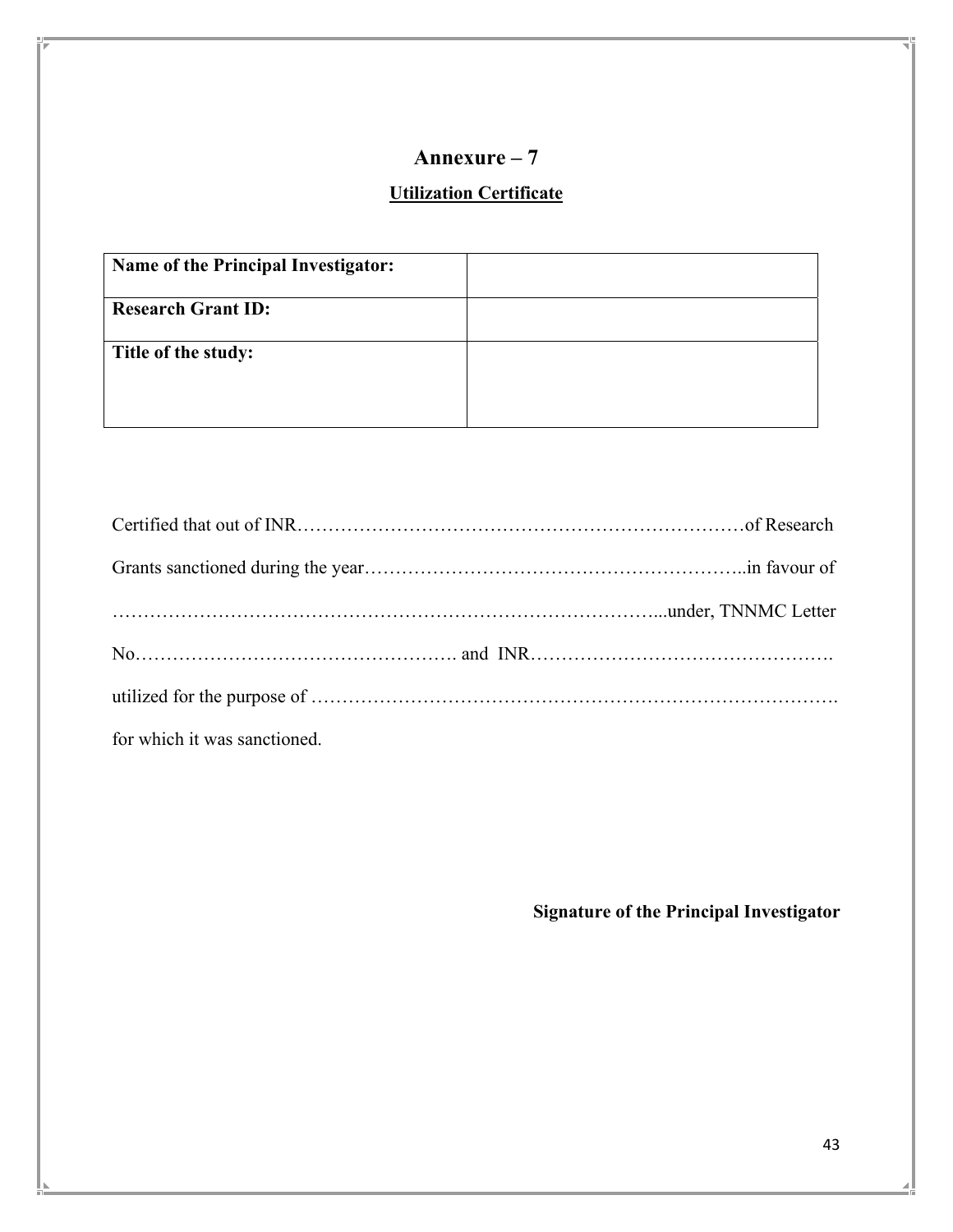# **Utilization Certificate**

| Name of the Principal Investigator: |  |
|-------------------------------------|--|
| <b>Research Grant ID:</b>           |  |
| Title of the study:                 |  |
|                                     |  |

| for which it was sanctioned. |  |
|------------------------------|--|

**Signature of the Principal Investigator**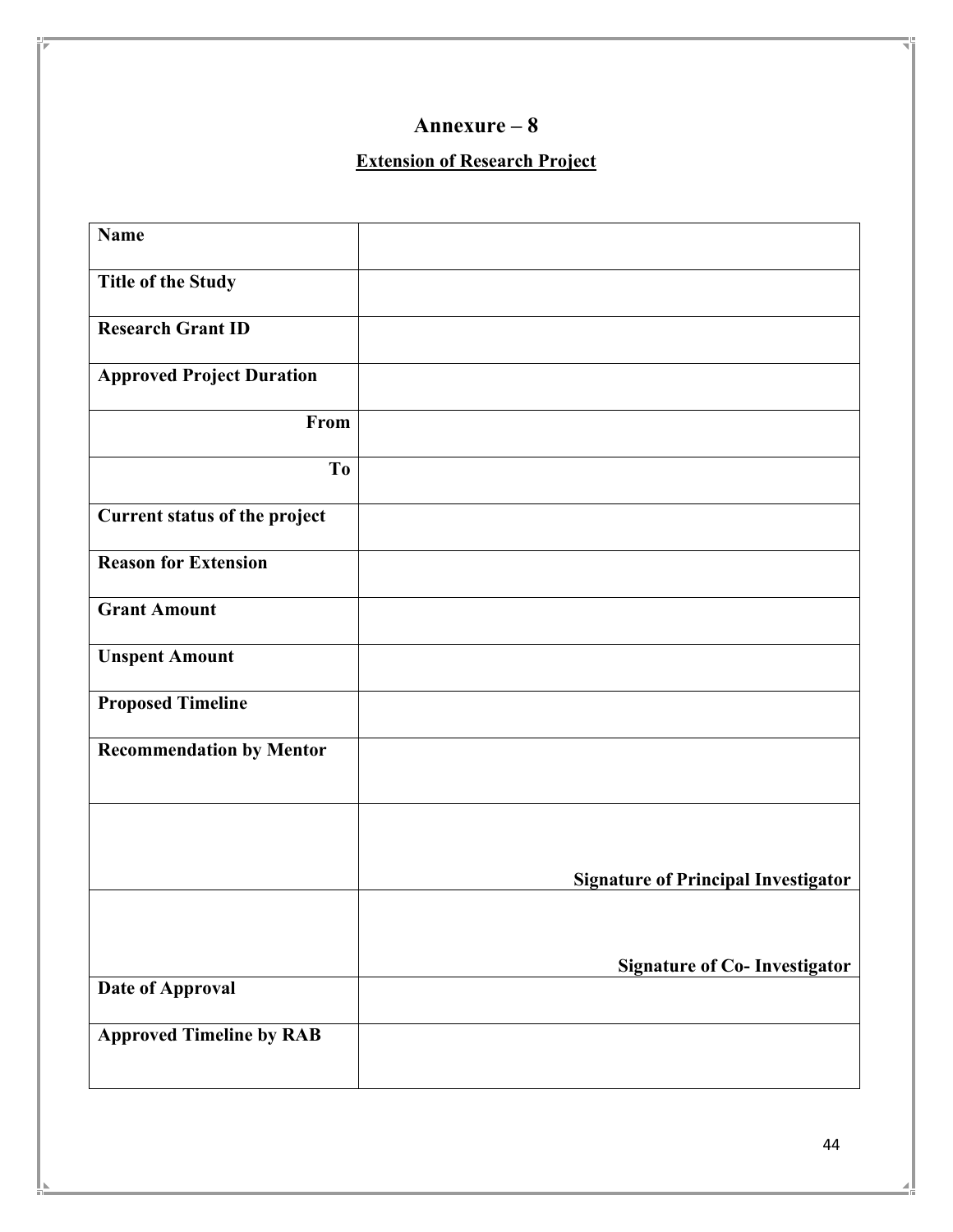## **Extension of Research Project**

| <b>Name</b>                      |                                            |
|----------------------------------|--------------------------------------------|
| <b>Title of the Study</b>        |                                            |
| <b>Research Grant ID</b>         |                                            |
| <b>Approved Project Duration</b> |                                            |
| From                             |                                            |
| T <sub>o</sub>                   |                                            |
| Current status of the project    |                                            |
| <b>Reason for Extension</b>      |                                            |
| <b>Grant Amount</b>              |                                            |
| <b>Unspent Amount</b>            |                                            |
| <b>Proposed Timeline</b>         |                                            |
| <b>Recommendation by Mentor</b>  |                                            |
|                                  |                                            |
|                                  | <b>Signature of Principal Investigator</b> |
|                                  |                                            |
|                                  | <b>Signature of Co- Investigator</b>       |
| Date of Approval                 |                                            |
| <b>Approved Timeline by RAB</b>  |                                            |
|                                  |                                            |